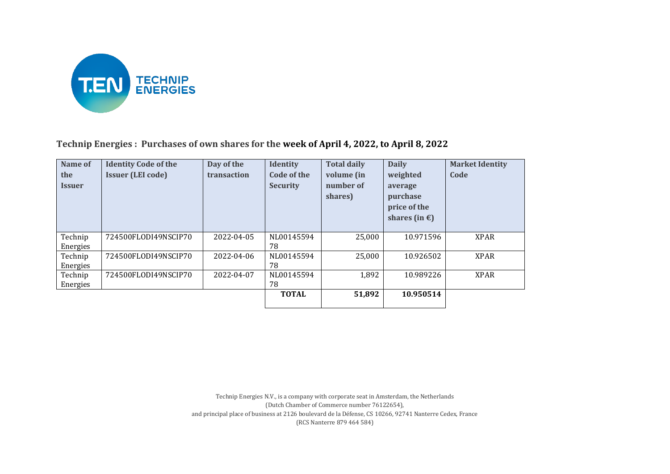

**Technip Energies : Purchases of own shares for the week of April 4, 2022, to April 8, 2022**

| Name of              | <b>Identity Code of the</b> | Day of the  | <b>Identity</b> | <b>Total daily</b> | <b>Daily</b>            | <b>Market Identity</b> |
|----------------------|-----------------------------|-------------|-----------------|--------------------|-------------------------|------------------------|
| the                  | <b>Issuer (LEI code)</b>    | transaction | Code of the     | volume (in         | weighted                | Code                   |
| <i><b>Issuer</b></i> |                             |             | <b>Security</b> | number of          | average                 |                        |
|                      |                             |             |                 | shares)            | purchase                |                        |
|                      |                             |             |                 |                    | price of the            |                        |
|                      |                             |             |                 |                    | shares (in $\epsilon$ ) |                        |
|                      |                             |             |                 |                    |                         |                        |
| Technip              | 724500FLODI49NSCIP70        | 2022-04-05  | NL00145594      | 25,000             | 10.971596               | <b>XPAR</b>            |
| Energies             |                             |             | 78              |                    |                         |                        |
| Technip              | 724500FLODI49NSCIP70        | 2022-04-06  | NL00145594      | 25,000             | 10.926502               | <b>XPAR</b>            |
| Energies             |                             |             | 78              |                    |                         |                        |
| Technip              | 724500FLODI49NSCIP70        | 2022-04-07  | NL00145594      | 1,892              | 10.989226               | <b>XPAR</b>            |
| Energies             |                             |             | 78              |                    |                         |                        |
|                      |                             |             | <b>TOTAL</b>    | 51,892             | 10.950514               |                        |
|                      |                             |             |                 |                    |                         |                        |

Technip Energies N.V., is a company with corporate seat in Amsterdam, the Netherlands (Dutch Chamber of Commerce number 76122654), and principal place of business at 2126 boulevard de la Défense, CS 10266, 92741 Nanterre Cedex, France (RCS Nanterre 879 464 584)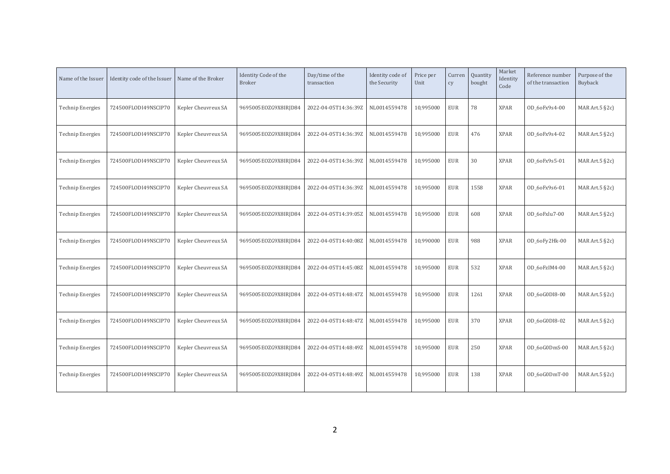| Name of the Issuer      | Identity code of the Issuer | Name of the Broker  | Identity Code of the<br><b>Broker</b> | Day/time of the<br>transaction | Identity code of<br>the Security | Price per<br>Unit | Curren<br>cy | Quantity<br>bought | Market<br>Identity<br>Code | Reference number<br>of the transaction | Purpose of the<br>Buyback |
|-------------------------|-----------------------------|---------------------|---------------------------------------|--------------------------------|----------------------------------|-------------------|--------------|--------------------|----------------------------|----------------------------------------|---------------------------|
| <b>Technip Energies</b> | 724500FLODI49NSCIP70        | Kepler Cheuvreux SA | 9695005E0ZG9X8IRJD84                  | 2022-04-05T14:36:39Z           | NL0014559478                     | 10,995000         | <b>EUR</b>   | 78                 | <b>XPAR</b>                | OD_6oFx9s4-00                          | MAR Art.5 §2c)            |
| <b>Technip Energies</b> | 724500FLODI49NSCIP70        | Kepler Cheuvreux SA | 9695005E0ZG9X8IRJD84                  | 2022-04-05T14:36:39Z           | NL0014559478                     | 10,995000         | <b>EUR</b>   | 476                | <b>XPAR</b>                | OD 60Fx9s4-02                          | MAR Art. $5$ §2c)         |
| <b>Technip Energies</b> | 724500FLODI49NSCIP70        | Kepler Cheuvreux SA | 9695005E0ZG9X8IRJD84                  | 2022-04-05T14:36:39Z           | NL0014559478                     | 10,995000         | <b>EUR</b>   | 30                 | <b>XPAR</b>                | OD 60Fx9s5-01                          | MAR Art.5 §2c)            |
| <b>Technip Energies</b> | 724500FLODI49NSCIP70        | Kepler Cheuvreux SA | 9695005E0ZG9X8IRJD84                  | 2022-04-05T14:36:39Z           | NL0014559478                     | 10,995000         | <b>EUR</b>   | 1558               | <b>XPAR</b>                | OD 60Fx9s6-01                          | MAR Art.5 §2c)            |
| <b>Technip Energies</b> | 724500FLODI49NSCIP70        | Kepler Cheuvreux SA | 9695005E0ZG9X8IRJD84                  | 2022-04-05T14:39:05Z           | NL0014559478                     | 10,995000         | <b>EUR</b>   | 608                | <b>XPAR</b>                | OD 6oFxlu7-00                          | MAR Art.5 §2c)            |
| <b>Technip Energies</b> | 724500FLODI49NSCIP70        | Kepler Cheuvreux SA | 9695005EOZG9X8IRJD84                  | 2022-04-05T14:40:08Z           | NL0014559478                     | 10,990000         | <b>EUR</b>   | 988                | <b>XPAR</b>                | OD_6oFy2Hk-00                          | MAR Art. $5$ $\S$ 2c)     |
| <b>Technip Energies</b> | 724500FLODI49NSCIP70        | Kepler Cheuvreux SA | 9695005EOZG9X8IRJD84                  | 2022-04-05T14:45:08Z           | NL0014559478                     | 10,995000         | <b>EUR</b>   | 532                | <b>XPAR</b>                | OD 6oFzIM4-00                          | MAR Art. $5$ §2c)         |
| <b>Technip Energies</b> | 724500FLODI49NSCIP70        | Kepler Cheuvreux SA | 9695005E0ZG9X8IRJD84                  | 2022-04-05T14:48:47Z           | NL0014559478                     | 10,995000         | <b>EUR</b>   | 1261               | <b>XPAR</b>                | OD 6oG0DI8-00                          | MAR Art.5 §2c)            |
| <b>Technip Energies</b> | 724500FLODI49NSCIP70        | Kepler Cheuvreux SA | 9695005E0ZG9X8IRJD84                  | 2022-04-05T14:48:47Z           | NL0014559478                     | 10,995000         | <b>EUR</b>   | 370                | <b>XPAR</b>                | OD 60G0DI8-02                          | MAR Art.5 §2c)            |
| <b>Technip Energies</b> | 724500FLODI49NSCIP70        | Kepler Cheuvreux SA | 9695005E0ZG9X8IRJD84                  | 2022-04-05T14:48:49Z           | NL0014559478                     | 10,995000         | <b>EUR</b>   | 250                | <b>XPAR</b>                | OD 6oG0DmS-00                          | MAR Art.5 §2c)            |
| <b>Technip Energies</b> | 724500FLODI49NSCIP70        | Kepler Cheuvreux SA | 9695005EOZG9X8IRJD84                  | 2022-04-05T14:48:49Z           | NL0014559478                     | 10,995000         | <b>EUR</b>   | 138                | <b>XPAR</b>                | OD_6oG0DmT-00                          | MAR Art.5 §2c)            |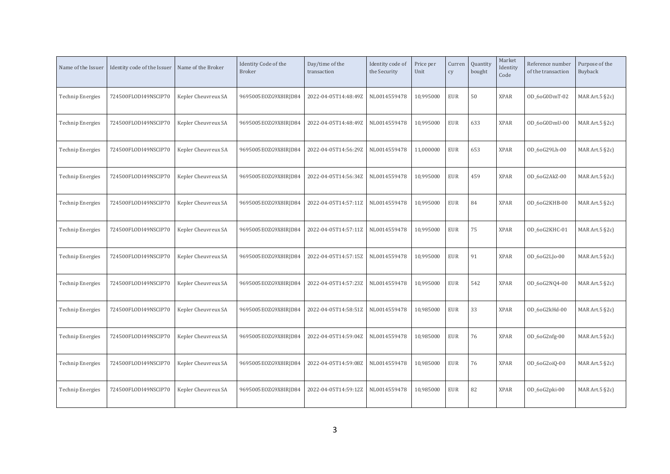| Name of the Issuer      | Identity code of the Issuer | Name of the Broker  | Identity Code of the<br><b>Broker</b> | Day/time of the<br>transaction | Identity code of<br>the Security | Price per<br>Unit | Curren<br>cy | Quantity<br>bought | Market<br>Identity<br>Code | Reference number<br>of the transaction | Purpose of the<br>Buyback |
|-------------------------|-----------------------------|---------------------|---------------------------------------|--------------------------------|----------------------------------|-------------------|--------------|--------------------|----------------------------|----------------------------------------|---------------------------|
| <b>Technip Energies</b> | 724500FLODI49NSCIP70        | Kepler Cheuvreux SA | 9695005EOZG9X8IRJD84                  | 2022-04-05T14:48:49Z           | NL0014559478                     | 10,995000         | <b>EUR</b>   | 50                 | <b>XPAR</b>                | OD_6oG0DmT-02                          | MAR Art. $5$ $\S$ 2c)     |
| <b>Technip Energies</b> | 724500FLODI49NSCIP70        | Kepler Cheuvreux SA | 9695005EOZG9X8IRJD84                  | 2022-04-05T14:48:49Z           | NL0014559478                     | 10,995000         | <b>EUR</b>   | 633                | <b>XPAR</b>                | OD 6oG0DmU-00                          | MAR Art.5 §2c)            |
| <b>Technip Energies</b> | 724500FLODI49NSCIP70        | Kepler Cheuvreux SA | 9695005EOZG9X8IRJD84                  | 2022-04-05T14:56:29Z           | NL0014559478                     | 11,000000         | <b>EUR</b>   | 653                | <b>XPAR</b>                | OD 6oG29Lh-00                          | MAR Art. $5$ $\S$ 2c)     |
| <b>Technip Energies</b> | 724500FLODI49NSCIP70        | Kepler Cheuvreux SA | 9695005EOZG9X8IRJD84                  | 2022-04-05T14:56:34Z           | NL0014559478                     | 10,995000         | <b>EUR</b>   | 459                | <b>XPAR</b>                | OD_6oG2AkZ-00                          | MAR Art. $5$ $\S$ 2c)     |
| <b>Technip Energies</b> | 724500FLODI49NSCIP70        | Kepler Cheuvreux SA | 9695005EOZG9X8IRJD84                  | 2022-04-05T14:57:11Z           | NL0014559478                     | 10,995000         | <b>EUR</b>   | 84                 | <b>XPAR</b>                | OD 6oG2KHB-00                          | MAR Art.5 §2c)            |
| <b>Technip Energies</b> | 724500FLODI49NSCIP70        | Kepler Cheuvreux SA | 9695005EOZG9X8IRJD84                  | 2022-04-05T14:57:11Z           | NL0014559478                     | 10,995000         | <b>EUR</b>   | 75                 | <b>XPAR</b>                | OD_6oG2KHC-01                          | MAR Art. $5$ $\S$ 2c)     |
| <b>Technip Energies</b> | 724500FLODI49NSCIP70        | Kepler Cheuvreux SA | 9695005EOZG9X8IRJD84                  | 2022-04-05T14:57:15Z           | NL0014559478                     | 10,995000         | <b>EUR</b>   | 91                 | <b>XPAR</b>                | $OD_6oG2L$ ] $o-00$                    | MAR Art.5 §2c)            |
| <b>Technip Energies</b> | 724500FLODI49NSCIP70        | Kepler Cheuvreux SA | 9695005EOZG9X8IRJD84                  | 2022-04-05T14:57:23Z           | NL0014559478                     | 10,995000         | <b>EUR</b>   | 542                | <b>XPAR</b>                | OD_6oG2NQ4-00                          | MAR Art.5 §2c)            |
| <b>Technip Energies</b> | 724500FLODI49NSCIP70        | Kepler Cheuvreux SA | 9695005E0ZG9X8IRJD84                  | 2022-04-05T14:58:51Z           | NL0014559478                     | 10,985000         | <b>EUR</b>   | 33                 | <b>XPAR</b>                | OD 6oG2kHd-00                          | MAR Art. $5$ $\S$ 2c)     |
| <b>Technip Energies</b> | 724500FLODI49NSCIP70        | Kepler Cheuvreux SA | 9695005EOZG9X8IRJD84                  | 2022-04-05T14:59:04Z           | NL0014559478                     | 10,985000         | <b>EUR</b>   | 76                 | <b>XPAR</b>                | OD_6oG2nfg-00                          | MAR Art.5 §2c)            |
| <b>Technip Energies</b> | 724500FLODI49NSCIP70        | Kepler Cheuvreux SA | 9695005EOZG9X8IRJD84                  | 2022-04-05T14:59:08Z           | NL0014559478                     | 10,985000         | <b>EUR</b>   | 76                 | <b>XPAR</b>                | OD_6oG2oiQ-00                          | MAR Art.5 §2c)            |
| Technip Energies        | 724500FLODI49NSCIP70        | Kepler Cheuvreux SA | 9695005EOZG9X8IRJD84                  | 2022-04-05T14:59:12Z           | NL0014559478                     | 10,985000         | <b>EUR</b>   | 82                 | <b>XPAR</b>                | OD_6oG2pki-00                          | MAR Art. $5$ $\S$ 2c)     |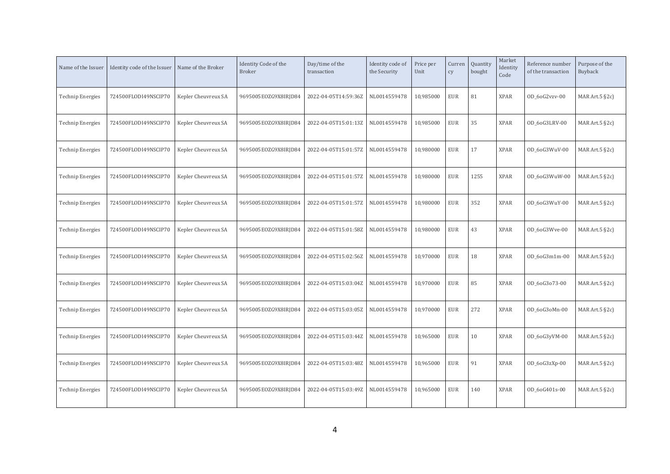| Name of the Issuer      | Identity code of the Issuer | Name of the Broker  | Identity Code of the<br><b>Broker</b> | Day/time of the<br>transaction | Identity code of<br>the Security | Price per<br>Unit | Curren<br>cy | Quantity<br>bought | Market<br>Identity<br>Code | Reference number<br>of the transaction | Purpose of the<br>Buyback |
|-------------------------|-----------------------------|---------------------|---------------------------------------|--------------------------------|----------------------------------|-------------------|--------------|--------------------|----------------------------|----------------------------------------|---------------------------|
| <b>Technip Energies</b> | 724500FLODI49NSCIP70        | Kepler Cheuvreux SA | 9695005EOZG9X8IRJD84                  | 2022-04-05T14:59:36Z           | NL0014559478                     | 10,985000         | <b>EUR</b>   | 81                 | <b>XPAR</b>                | OD_6oG2vzv-00                          | MAR Art.5 §2c)            |
| <b>Technip Energies</b> | 724500FLODI49NSCIP70        | Kepler Cheuvreux SA | 9695005EOZG9X8IRJD84                  | 2022-04-05T15:01:13Z           | NL0014559478                     | 10,985000         | <b>EUR</b>   | 35                 | <b>XPAR</b>                | OD_6oG3LRV-00                          | MAR Art. $5$ $\S$ 2c)     |
| <b>Technip Energies</b> | 724500FLODI49NSCIP70        | Kepler Cheuvreux SA | 9695005EOZG9X8IRJD84                  | 2022-04-05T15:01:57Z           | NL0014559478                     | 10,980000         | <b>EUR</b>   | 17                 | <b>XPAR</b>                | OD 6oG3WuV-00                          | MAR Art. $5 \,$ §2c)      |
| <b>Technip Energies</b> | 724500FLODI49NSCIP70        | Kepler Cheuvreux SA | 9695005E0ZG9X8IRJD84                  | 2022-04-05T15:01:57Z           | NL0014559478                     | 10,980000         | <b>EUR</b>   | 1255               | <b>XPAR</b>                | OD 6oG3WuW-00                          | MAR Art. $5$ $\S$ 2c)     |
| <b>Technip Energies</b> | 724500FLODI49NSCIP70        | Kepler Cheuvreux SA | 9695005EOZG9X8IRJD84                  | 2022-04-05T15:01:57Z           | NL0014559478                     | 10,980000         | <b>EUR</b>   | 352                | <b>XPAR</b>                | OD_6oG3WuY-00                          | MAR Art. $5$ $\S$ 2c)     |
| <b>Technip Energies</b> | 724500FLODI49NSCIP70        | Kepler Cheuvreux SA | 9695005EOZG9X8IRJD84                  | 2022-04-05T15:01:58Z           | NL0014559478                     | 10,980000         | <b>EUR</b>   | 43                 | <b>XPAR</b>                | OD_6oG3Wve-00                          | MAR Art.5 §2c)            |
| <b>Technip Energies</b> | 724500FLODI49NSCIP70        | Kepler Cheuvreux SA | 9695005EOZG9X8IRJD84                  | 2022-04-05T15:02:56Z           | NL0014559478                     | 10,970000         | <b>EUR</b>   | 18                 | <b>XPAR</b>                | OD 6oG3m1m-00                          | MAR Art. $5$ $\S$ 2c)     |
| <b>Technip Energies</b> | 724500FLODI49NSCIP70        | Kepler Cheuvreux SA | 9695005EOZG9X8IRJD84                  | 2022-04-05T15:03:04Z           | NL0014559478                     | 10,970000         | <b>EUR</b>   | 85                 | <b>XPAR</b>                | OD 60G3073-00                          | MAR Art. $5$ $\S$ 2c)     |
| <b>Technip Energies</b> | 724500FLODI49NSCIP70        | Kepler Cheuvreux SA | 9695005EOZG9X8IRJD84                  | 2022-04-05T15:03:05Z           | NL0014559478                     | 10,970000         | <b>EUR</b>   | 272                | <b>XPAR</b>                | OD_6oG3oMn-00                          | MAR Art. $5$ $\S$ 2c)     |
| <b>Technip Energies</b> | 724500FLODI49NSCIP70        | Kepler Cheuvreux SA | 9695005EOZG9X8IRJD84                  | 2022-04-05T15:03:44Z           | NL0014559478                     | 10,965000         | <b>EUR</b>   | 10                 | <b>XPAR</b>                | OD_6oG3yVM-00                          | MAR Art.5 §2c)            |
| <b>Technip Energies</b> | 724500FLODI49NSCIP70        | Kepler Cheuvreux SA | 9695005EOZG9X8IRJD84                  | 2022-04-05T15:03:48Z           | NL0014559478                     | 10,965000         | <b>EUR</b>   | 91                 | <b>XPAR</b>                | OD_6oG3zXp-00                          | MAR Art. $5$ $\S$ 2c)     |
| Technip Energies        | 724500FLODI49NSCIP70        | Kepler Cheuvreux SA | 9695005EOZG9X8IRJD84                  | 2022-04-05T15:03:49Z           | NL0014559478                     | 10,965000         | <b>EUR</b>   | 140                | <b>XPAR</b>                | OD 6oG401s-00                          | MAR Art. $5$ $\S$ 2c)     |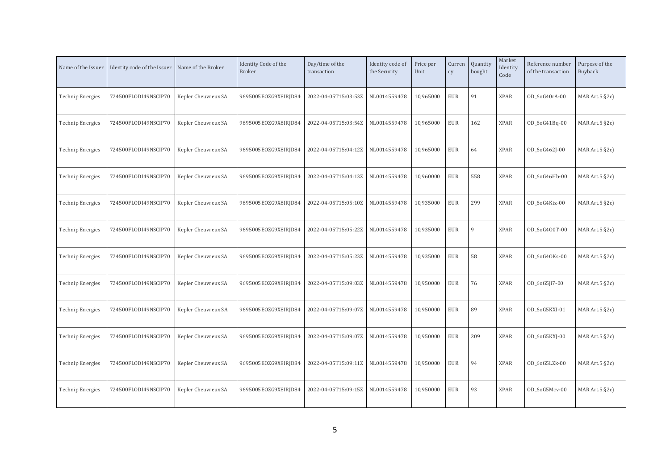| Name of the Issuer      | Identity code of the Issuer | Name of the Broker  | Identity Code of the<br><b>Broker</b> | Day/time of the<br>transaction | Identity code of<br>the Security | Price per<br>Unit | Curren<br>cy | Quantity<br>bought | Market<br>Identity<br>Code | Reference number<br>of the transaction | Purpose of the<br>Buyback |
|-------------------------|-----------------------------|---------------------|---------------------------------------|--------------------------------|----------------------------------|-------------------|--------------|--------------------|----------------------------|----------------------------------------|---------------------------|
| <b>Technip Energies</b> | 724500FLODI49NSCIP70        | Kepler Cheuvreux SA | 9695005EOZG9X8IRJD84                  | 2022-04-05T15:03:53Z           | NL0014559478                     | 10,965000         | <b>EUR</b>   | 91                 | <b>XPAR</b>                | OD_6oG40rA-00                          | MAR Art.5 §2c)            |
| <b>Technip Energies</b> | 724500FLODI49NSCIP70        | Kepler Cheuvreux SA | 9695005EOZG9X8IRJD84                  | 2022-04-05T15:03:54Z           | NL0014559478                     | 10,965000         | <b>EUR</b>   | 162                | <b>XPAR</b>                | OD_6oG41Bq-00                          | MAR Art.5 §2c)            |
| <b>Technip Energies</b> | 724500FLODI49NSCIP70        | Kepler Cheuvreux SA | 9695005EOZG9X8IRJD84                  | 2022-04-05T15:04:12Z           | NL0014559478                     | 10,965000         | <b>EUR</b>   | 64                 | <b>XPAR</b>                | OD 6oG462J-00                          | MAR Art. $5$ $\S$ 2c)     |
| <b>Technip Energies</b> | 724500FLODI49NSCIP70        | Kepler Cheuvreux SA | 9695005EOZG9X8IRJD84                  | 2022-04-05T15:04:13Z           | NL0014559478                     | 10,960000         | <b>EUR</b>   | 558                | <b>XPAR</b>                | OD_6oG46Hb-00                          | MAR Art. $5$ §2c)         |
| <b>Technip Energies</b> | 724500FLODI49NSCIP70        | Kepler Cheuvreux SA | 9695005EOZG9X8IRJD84                  | 2022-04-05T15:05:10Z           | NL0014559478                     | 10,935000         | <b>EUR</b>   | 299                | <b>XPAR</b>                | OD_6oG4Ktz-00                          | MAR Art.5 §2c)            |
| <b>Technip Energies</b> | 724500FLODI49NSCIP70        | Kepler Cheuvreux SA | 9695005EOZG9X8IRJD84                  | 2022-04-05T15:05:22Z           | NL0014559478                     | 10,935000         | <b>EUR</b>   | 9                  | <b>XPAR</b>                | OD 6oG400T-00                          | MAR Art. $5$ §2c)         |
| <b>Technip Energies</b> | 724500FLODI49NSCIP70        | Kepler Cheuvreux SA | 9695005EOZG9X8IRJD84                  | 2022-04-05T15:05:23Z           | NL0014559478                     | 10,935000         | <b>EUR</b>   | 58                 | <b>XPAR</b>                | OD_6oG4OKs-00                          | MAR Art.5 §2c)            |
| <b>Technip Energies</b> | 724500FLODI49NSCIP70        | Kepler Cheuvreux SA | 9695005EOZG9X8IRJD84                  | 2022-04-05T15:09:03Z           | NL0014559478                     | 10,950000         | <b>EUR</b>   | 76                 | <b>XPAR</b>                | OD_6oG5Ji7-00                          | MAR Art.5 §2c)            |
| <b>Technip Energies</b> | 724500FLODI49NSCIP70        | Kepler Cheuvreux SA | 9695005E0ZG9X8IRJD84                  | 2022-04-05T15:09:07Z           | NL0014559478                     | 10,950000         | <b>EUR</b>   | 89                 | <b>XPAR</b>                | OD 6oG5KXI-01                          | MAR Art. $5$ §2c)         |
| <b>Technip Energies</b> | 724500FLODI49NSCIP70        | Kepler Cheuvreux SA | 9695005EOZG9X8IRJD84                  | 2022-04-05T15:09:07Z           | NL0014559478                     | 10,950000         | <b>EUR</b>   | 209                | <b>XPAR</b>                | OD_6oG5KXJ-00                          | MAR Art.5 §2c)            |
| <b>Technip Energies</b> | 724500FLODI49NSCIP70        | Kepler Cheuvreux SA | 9695005EOZG9X8IRJD84                  | 2022-04-05T15:09:11Z           | NL0014559478                     | 10,950000         | <b>EUR</b>   | 94                 | <b>XPAR</b>                | OD_6oG5LZk-00                          | MAR Art.5 §2c)            |
| Technip Energies        | 724500FLODI49NSCIP70        | Kepler Cheuvreux SA | 9695005EOZG9X8IRJD84                  | 2022-04-05T15:09:15Z           | NL0014559478                     | 10,950000         | <b>EUR</b>   | 93                 | <b>XPAR</b>                | OD 6oG5Mcv-00                          | MAR Art. $5$ §2c)         |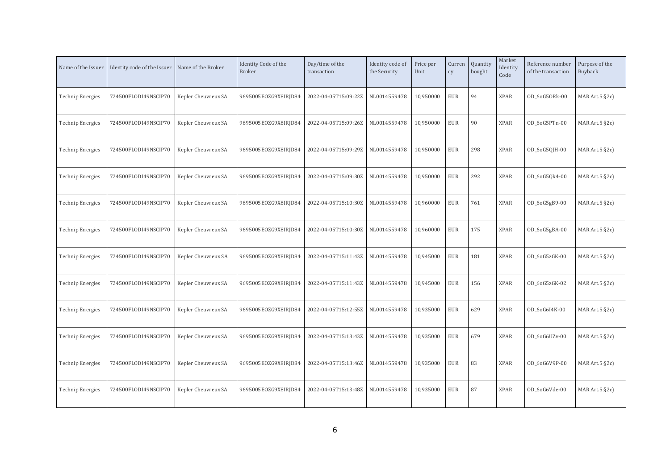| Name of the Issuer      | Identity code of the Issuer | Name of the Broker  | Identity Code of the<br><b>Broker</b> | Day/time of the<br>transaction | Identity code of<br>the Security | Price per<br>Unit | Curren<br>cy | Quantity<br>bought | Market<br>Identity<br>Code | Reference number<br>of the transaction | Purpose of the<br>Buyback |
|-------------------------|-----------------------------|---------------------|---------------------------------------|--------------------------------|----------------------------------|-------------------|--------------|--------------------|----------------------------|----------------------------------------|---------------------------|
| <b>Technip Energies</b> | 724500FLODI49NSCIP70        | Kepler Cheuvreux SA | 9695005EOZG9X8IRJD84                  | 2022-04-05T15:09:22Z           | NL0014559478                     | 10,950000         | <b>EUR</b>   | 94                 | <b>XPAR</b>                | OD_6oG5ORk-00                          | MAR Art. $5$ §2c)         |
| <b>Technip Energies</b> | 724500FLODI49NSCIP70        | Kepler Cheuvreux SA | 9695005EOZG9X8IRJD84                  | 2022-04-05T15:09:26Z           | NL0014559478                     | 10,950000         | <b>EUR</b>   | 90                 | <b>XPAR</b>                | OD 6oG5PTn-00                          | MAR Art.5 §2c)            |
| <b>Technip Energies</b> | 724500FLODI49NSCIP70        | Kepler Cheuvreux SA | 9695005EOZG9X8IRJD84                  | 2022-04-05T15:09:29Z           | NL0014559478                     | 10,950000         | <b>EUR</b>   | 298                | <b>XPAR</b>                | OD_6oG5QJH-00                          | MAR Art. $5$ §2c)         |
| <b>Technip Energies</b> | 724500FLODI49NSCIP70        | Kepler Cheuvreux SA | 9695005EOZG9X8IRJD84                  | 2022-04-05T15:09:30Z           | NL0014559478                     | 10,950000         | <b>EUR</b>   | 292                | <b>XPAR</b>                | OD_6oG5Qk4-00                          | MAR Art. $5$ §2c)         |
| <b>Technip Energies</b> | 724500FLODI49NSCIP70        | Kepler Cheuvreux SA | 9695005EOZG9X8IRJD84                  | 2022-04-05T15:10:30Z           | NL0014559478                     | 10,960000         | <b>EUR</b>   | 761                | <b>XPAR</b>                | OD_6oG5gB9-00                          | MAR Art.5 §2c)            |
| <b>Technip Energies</b> | 724500FLODI49NSCIP70        | Kepler Cheuvreux SA | 9695005EOZG9X8IRJD84                  | 2022-04-05T15:10:30Z           | NL0014559478                     | 10,960000         | <b>EUR</b>   | 175                | <b>XPAR</b>                | OD_6oG5gBA-00                          | MAR Art. $5$ §2c)         |
| <b>Technip Energies</b> | 724500FLODI49NSCIP70        | Kepler Cheuvreux SA | 9695005EOZG9X8IRJD84                  | 2022-04-05T15:11:43Z           | NL0014559478                     | 10,945000         | <b>EUR</b>   | 181                | <b>XPAR</b>                | OD_6oG5zGK-00                          | MAR Art.5 §2c)            |
| <b>Technip Energies</b> | 724500FLODI49NSCIP70        | Kepler Cheuvreux SA | 9695005EOZG9X8IRJD84                  | 2022-04-05T15:11:43Z           | NL0014559478                     | 10,945000         | <b>EUR</b>   | 156                | <b>XPAR</b>                | OD_6oG5zGK-02                          | MAR Art.5 §2c)            |
| <b>Technip Energies</b> | 724500FLODI49NSCIP70        | Kepler Cheuvreux SA | 9695005E0ZG9X8IRJD84                  | 2022-04-05T15:12:55Z           | NL0014559478                     | 10,935000         | <b>EUR</b>   | 629                | <b>XPAR</b>                | OD 6oG6I4K-00                          | MAR Art. $5$ §2c)         |
| <b>Technip Energies</b> | 724500FLODI49NSCIP70        | Kepler Cheuvreux SA | 9695005EOZG9X8IRJD84                  | 2022-04-05T15:13:43Z           | NL0014559478                     | 10,935000         | <b>EUR</b>   | 679                | <b>XPAR</b>                | OD_6oG6UZv-00                          | MAR Art.5 §2c)            |
| <b>Technip Energies</b> | 724500FLODI49NSCIP70        | Kepler Cheuvreux SA | 9695005EOZG9X8IRJD84                  | 2022-04-05T15:13:46Z           | NL0014559478                     | 10,935000         | <b>EUR</b>   | 83                 | <b>XPAR</b>                | OD_6oG6V9P-00                          | MAR Art.5 §2c)            |
| Technip Energies        | 724500FLODI49NSCIP70        | Kepler Cheuvreux SA | 9695005EOZG9X8IRJD84                  | 2022-04-05T15:13:48Z           | NL0014559478                     | 10,935000         | <b>EUR</b>   | 87                 | <b>XPAR</b>                | OD 6oG6Vde-00                          | MAR Art. $5$ $\S$ 2c)     |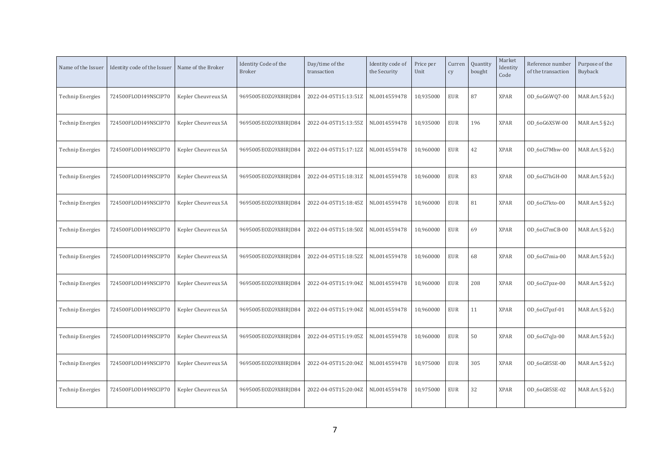| Name of the Issuer      | Identity code of the Issuer | Name of the Broker  | Identity Code of the<br><b>Broker</b> | Day/time of the<br>transaction | Identity code of<br>the Security | Price per<br>Unit | Curren<br>cy | Quantity<br>bought | Market<br>Identity<br>Code | Reference number<br>of the transaction | Purpose of the<br>Buyback |
|-------------------------|-----------------------------|---------------------|---------------------------------------|--------------------------------|----------------------------------|-------------------|--------------|--------------------|----------------------------|----------------------------------------|---------------------------|
| <b>Technip Energies</b> | 724500FLODI49NSCIP70        | Kepler Cheuvreux SA | 9695005EOZG9X8IRJD84                  | 2022-04-05T15:13:51Z           | NL0014559478                     | 10,935000         | <b>EUR</b>   | 87                 | <b>XPAR</b>                | OD_6oG6WQ7-00                          | MAR Art. $5$ $\S$ 2c)     |
| <b>Technip Energies</b> | 724500FLODI49NSCIP70        | Kepler Cheuvreux SA | 9695005EOZG9X8IRJD84                  | 2022-04-05T15:13:55Z           | NL0014559478                     | 10,935000         | <b>EUR</b>   | 196                | <b>XPAR</b>                | OD_6oG6XSW-00                          | MAR Art.5 §2c)            |
| <b>Technip Energies</b> | 724500FLODI49NSCIP70        | Kepler Cheuvreux SA | 9695005EOZG9X8IRJD84                  | 2022-04-05T15:17:12Z           | NL0014559478                     | 10,960000         | <b>EUR</b>   | 42                 | <b>XPAR</b>                | OD 6oG7Mhw-00                          | MAR Art. $5$ §2c)         |
| <b>Technip Energies</b> | 724500FLODI49NSCIP70        | Kepler Cheuvreux SA | 9695005EOZG9X8IRJD84                  | 2022-04-05T15:18:31Z           | NL0014559478                     | 10,960000         | <b>EUR</b>   | 83                 | <b>XPAR</b>                | OD_6oG7hGH-00                          | MAR Art. $5$ $\S$ 2c)     |
| <b>Technip Energies</b> | 724500FLODI49NSCIP70        | Kepler Cheuvreux SA | 9695005EOZG9X8IRJD84                  | 2022-04-05T15:18:45Z           | NL0014559478                     | 10,960000         | <b>EUR</b>   | 81                 | <b>XPAR</b>                | OD 6oG7kto-00                          | MAR Art.5 §2c)            |
| <b>Technip Energies</b> | 724500FLODI49NSCIP70        | Kepler Cheuvreux SA | 9695005EOZG9X8IRJD84                  | 2022-04-05T15:18:50Z           | NL0014559478                     | 10,960000         | <b>EUR</b>   | 69                 | <b>XPAR</b>                | OD 6oG7mCB-00                          | MAR Art. $5$ $\S$ 2c)     |
| <b>Technip Energies</b> | 724500FLODI49NSCIP70        | Kepler Cheuvreux SA | 9695005EOZG9X8IRJD84                  | 2022-04-05T15:18:52Z           | NL0014559478                     | 10,960000         | <b>EUR</b>   | 68                 | <b>XPAR</b>                | 0D_6oG7mia-00                          | MAR Art.5 §2c)            |
| <b>Technip Energies</b> | 724500FLODI49NSCIP70        | Kepler Cheuvreux SA | 9695005EOZG9X8IRJD84                  | 2022-04-05T15:19:04Z           | NL0014559478                     | 10,960000         | <b>EUR</b>   | 208                | <b>XPAR</b>                | OD_6oG7pze-00                          | MAR Art.5 §2c)            |
| <b>Technip Energies</b> | 724500FLODI49NSCIP70        | Kepler Cheuvreux SA | 9695005E0ZG9X8IRJD84                  | 2022-04-05T15:19:04Z           | NL0014559478                     | 10,960000         | <b>EUR</b>   | 11                 | <b>XPAR</b>                | OD_6oG7pzf-01                          | MAR Art. $5$ $\S$ 2c)     |
| <b>Technip Energies</b> | 724500FLODI49NSCIP70        | Kepler Cheuvreux SA | 9695005EOZG9X8IRJD84                  | 2022-04-05T15:19:05Z           | NL0014559478                     | 10,960000         | <b>EUR</b>   | 50                 | <b>XPAR</b>                | $OD_6oG7qJz-00$                        | MAR Art.5 §2c)            |
| <b>Technip Energies</b> | 724500FLODI49NSCIP70        | Kepler Cheuvreux SA | 9695005EOZG9X8IRJD84                  | 2022-04-05T15:20:04Z           | NL0014559478                     | 10,975000         | <b>EUR</b>   | 305                | <b>XPAR</b>                | OD_6oG85SE-00                          | MAR Art.5 §2c)            |
| Technip Energies        | 724500FLODI49NSCIP70        | Kepler Cheuvreux SA | 9695005EOZG9X8IRJD84                  | 2022-04-05T15:20:04Z           | NL0014559478                     | 10,975000         | <b>EUR</b>   | 32                 | <b>XPAR</b>                | OD 6oG85SE-02                          | MAR Art. $5$ $\S$ 2c)     |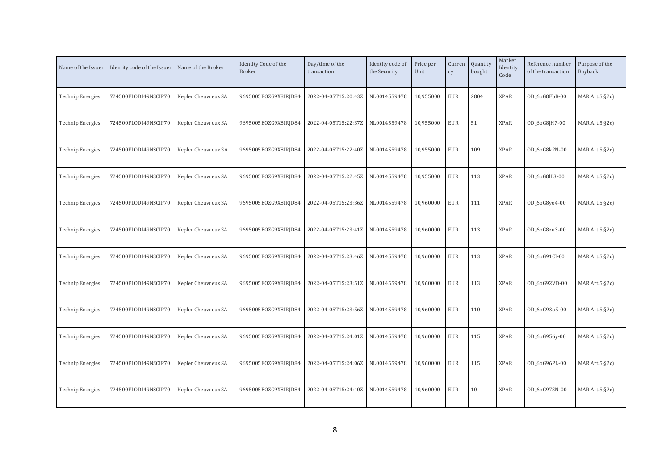| Name of the Issuer      | Identity code of the Issuer | Name of the Broker  | Identity Code of the<br><b>Broker</b> | Day/time of the<br>transaction | Identity code of<br>the Security | Price per<br>Unit | Curren<br>cy | Quantity<br>bought | Market<br>Identity<br>Code | Reference number<br>of the transaction | Purpose of the<br>Buyback |
|-------------------------|-----------------------------|---------------------|---------------------------------------|--------------------------------|----------------------------------|-------------------|--------------|--------------------|----------------------------|----------------------------------------|---------------------------|
| <b>Technip Energies</b> | 724500FLODI49NSCIP70        | Kepler Cheuvreux SA | 9695005EOZG9X8IRJD84                  | 2022-04-05T15:20:43Z           | NL0014559478                     | 10,955000         | <b>EUR</b>   | 2804               | <b>XPAR</b>                | OD_6oG8FbB-00                          | MAR Art. $5$ $\S$ 2c)     |
| <b>Technip Energies</b> | 724500FLODI49NSCIP70        | Kepler Cheuvreux SA | 9695005EOZG9X8IRJD84                  | 2022-04-05T15:22:37Z           | NL0014559478                     | 10,955000         | <b>EUR</b>   | 51                 | <b>XPAR</b>                | OD_6oG8jH7-00                          | MAR Art.5 §2c)            |
| <b>Technip Energies</b> | 724500FLODI49NSCIP70        | Kepler Cheuvreux SA | 9695005EOZG9X8IRJD84                  | 2022-04-05T15:22:40Z           | NL0014559478                     | 10,955000         | <b>EUR</b>   | 109                | <b>XPAR</b>                | OD 6oG8k2N-00                          | MAR Art. $5$ $\S$ 2c)     |
| <b>Technip Energies</b> | 724500FLODI49NSCIP70        | Kepler Cheuvreux SA | 9695005EOZG9X8IRJD84                  | 2022-04-05T15:22:45Z           | NL0014559478                     | 10,955000         | <b>EUR</b>   | 113                | <b>XPAR</b>                | OD_6oG8lL3-00                          | MAR Art. $5$ $\S$ 2c)     |
| <b>Technip Energies</b> | 724500FLODI49NSCIP70        | Kepler Cheuvreux SA | 9695005EOZG9X8IRJD84                  | 2022-04-05T15:23:36Z           | NL0014559478                     | 10,960000         | <b>EUR</b>   | 111                | <b>XPAR</b>                | OD_6oG8yo4-00                          | MAR Art.5 §2c)            |
| <b>Technip Energies</b> | 724500FLODI49NSCIP70        | Kepler Cheuvreux SA | 9695005EOZG9X8IRJD84                  | 2022-04-05T15:23:41Z           | NL0014559478                     | 10,960000         | <b>EUR</b>   | 113                | <b>XPAR</b>                | OD 6oG8zu3-00                          | MAR Art. $5$ $\S$ 2c)     |
| <b>Technip Energies</b> | 724500FLODI49NSCIP70        | Kepler Cheuvreux SA | 9695005EOZG9X8IRJD84                  | 2022-04-05T15:23:46Z           | NL0014559478                     | 10,960000         | <b>EUR</b>   | 113                | <b>XPAR</b>                | OD_6oG91Cl-00                          | MAR Art.5 §2c)            |
| <b>Technip Energies</b> | 724500FLODI49NSCIP70        | Kepler Cheuvreux SA | 9695005EOZG9X8IRJD84                  | 2022-04-05T15:23:51Z           | NL0014559478                     | 10,960000         | <b>EUR</b>   | 113                | <b>XPAR</b>                | OD_6oG92VD-00                          | MAR Art.5 §2c)            |
| <b>Technip Energies</b> | 724500FLODI49NSCIP70        | Kepler Cheuvreux SA | 9695005E0ZG9X8IRJD84                  | 2022-04-05T15:23:56Z           | NL0014559478                     | 10,960000         | <b>EUR</b>   | 110                | <b>XPAR</b>                | OD 60G9305-00                          | MAR Art. $5$ $\S$ 2c)     |
| <b>Technip Energies</b> | 724500FLODI49NSCIP70        | Kepler Cheuvreux SA | 9695005EOZG9X8IRJD84                  | 2022-04-05T15:24:01Z           | NL0014559478                     | 10,960000         | <b>EUR</b>   | 115                | <b>XPAR</b>                | OD_6oG956y-00                          | MAR Art.5 §2c)            |
| <b>Technip Energies</b> | 724500FLODI49NSCIP70        | Kepler Cheuvreux SA | 9695005EOZG9X8IRJD84                  | 2022-04-05T15:24:06Z           | NL0014559478                     | 10,960000         | <b>EUR</b>   | 115                | <b>XPAR</b>                | OD_6oG96PL-00                          | MAR Art.5 §2c)            |
| Technip Energies        | 724500FLODI49NSCIP70        | Kepler Cheuvreux SA | 9695005EOZG9X8IRJD84                  | 2022-04-05T15:24:10Z           | NL0014559478                     | 10,960000         | <b>EUR</b>   | 10                 | <b>XPAR</b>                | OD 6oG97SN-00                          | MAR Art. $5$ $\S$ 2c)     |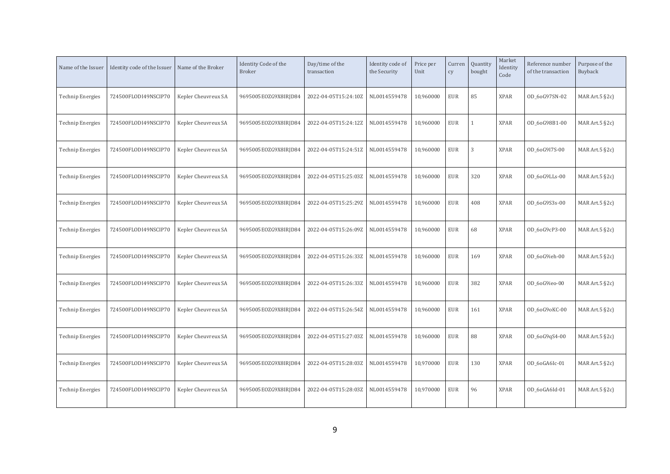| Name of the Issuer      | Identity code of the Issuer | Name of the Broker  | Identity Code of the<br><b>Broker</b> | Day/time of the<br>transaction | Identity code of<br>the Security | Price per<br>Unit | Curren<br>cy | Quantity<br>bought | Market<br>Identity<br>Code | Reference number<br>of the transaction | Purpose of the<br>Buyback |
|-------------------------|-----------------------------|---------------------|---------------------------------------|--------------------------------|----------------------------------|-------------------|--------------|--------------------|----------------------------|----------------------------------------|---------------------------|
| <b>Technip Energies</b> | 724500FLODI49NSCIP70        | Kepler Cheuvreux SA | 9695005EOZG9X8IRJD84                  | 2022-04-05T15:24:10Z           | NL0014559478                     | 10,960000         | <b>EUR</b>   | 85                 | <b>XPAR</b>                | OD_6oG97SN-02                          | MAR Art.5 §2c)            |
| <b>Technip Energies</b> | 724500FLODI49NSCIP70        | Kepler Cheuvreux SA | 9695005EOZG9X8IRJD84                  | 2022-04-05T15:24:12Z           | NL0014559478                     | 10,960000         | <b>EUR</b>   |                    | <b>XPAR</b>                | OD_6oG98B1-00                          | MAR Art. $5$ $\S$ 2c)     |
| <b>Technip Energies</b> | 724500FLODI49NSCIP70        | Kepler Cheuvreux SA | 9695005EOZG9X8IRJD84                  | 2022-04-05T15:24:51Z           | NL0014559478                     | 10,960000         | <b>EUR</b>   | 3                  | <b>XPAR</b>                | OD 6oG9I7S-00                          | MAR Art. $5 \,$ §2c)      |
| <b>Technip Energies</b> | 724500FLODI49NSCIP70        | Kepler Cheuvreux SA | 9695005E0ZG9X8IRJD84                  | 2022-04-05T15:25:03Z           | NL0014559478                     | 10,960000         | <b>EUR</b>   | 320                | <b>XPAR</b>                | OD 6oG9LLs-00                          | MAR Art. $5$ $\S$ 2c)     |
| <b>Technip Energies</b> | 724500FLODI49NSCIP70        | Kepler Cheuvreux SA | 9695005EOZG9X8IRJD84                  | 2022-04-05T15:25:29Z           | NL0014559478                     | 10,960000         | <b>EUR</b>   | 408                | <b>XPAR</b>                | OD_6oG9S3s-00                          | MAR Art. $5$ $\S$ 2c)     |
| <b>Technip Energies</b> | 724500FLODI49NSCIP70        | Kepler Cheuvreux SA | 9695005EOZG9X8IRJD84                  | 2022-04-05T15:26:09Z           | NL0014559478                     | 10,960000         | <b>EUR</b>   | 68                 | <b>XPAR</b>                | OD_6oG9cP3-00                          | MAR Art. $5$ $\S$ 2c)     |
| <b>Technip Energies</b> | 724500FLODI49NSCIP70        | Kepler Cheuvreux SA | 9695005EOZG9X8IRJD84                  | 2022-04-05T15:26:33Z           | NL0014559478                     | 10,960000         | <b>EUR</b>   | 169                | <b>XPAR</b>                | OD 6oG9ieh-00                          | MAR Art. $5$ $\S$ 2c)     |
| <b>Technip Energies</b> | 724500FLODI49NSCIP70        | Kepler Cheuvreux SA | 9695005EOZG9X8IRJD84                  | 2022-04-05T15:26:33Z           | NL0014559478                     | 10,960000         | <b>EUR</b>   | 382                | <b>XPAR</b>                | OD_6oG9ieo-00                          | MAR Art. $5$ $\S$ 2c)     |
| <b>Technip Energies</b> | 724500FLODI49NSCIP70        | Kepler Cheuvreux SA | 9695005EOZG9X8IRJD84                  | 2022-04-05T15:26:54Z           | NL0014559478                     | 10,960000         | <b>EUR</b>   | 161                | <b>XPAR</b>                | OD_6oG9oKC-00                          | MAR Art.5 §2c)            |
| <b>Technip Energies</b> | 724500FLODI49NSCIP70        | Kepler Cheuvreux SA | 9695005EOZG9X8IRJD84                  | 2022-04-05T15:27:03Z           | NL0014559478                     | 10,960000         | <b>EUR</b>   | 88                 | <b>XPAR</b>                | OD_6oG9qS4-00                          | MAR Art.5 §2c)            |
| <b>Technip Energies</b> | 724500FLODI49NSCIP70        | Kepler Cheuvreux SA | 9695005EOZG9X8IRJD84                  | 2022-04-05T15:28:03Z           | NL0014559478                     | 10,970000         | <b>EUR</b>   | 130                | <b>XPAR</b>                | OD_6oGA6Ic-01                          | MAR Art. $5$ $\S$ 2c)     |
| Technip Energies        | 724500FLODI49NSCIP70        | Kepler Cheuvreux SA | 9695005EOZG9X8IRJD84                  | 2022-04-05T15:28:03Z           | NL0014559478                     | 10,970000         | <b>EUR</b>   | 96                 | <b>XPAR</b>                | OD 6oGA6Id-01                          | MAR Art. $5$ $\S$ 2c)     |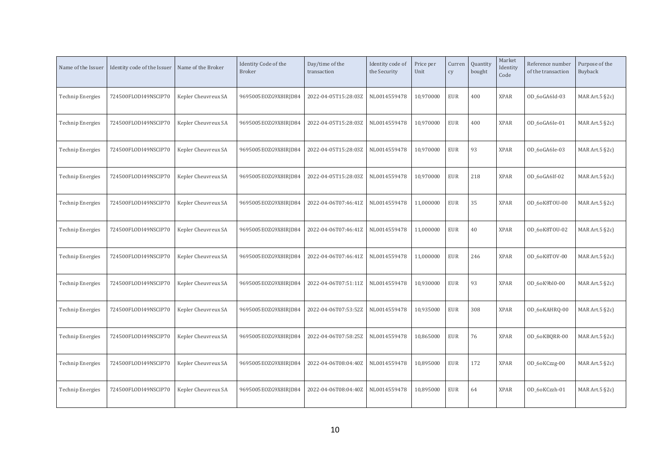| Name of the Issuer      | Identity code of the Issuer | Name of the Broker  | Identity Code of the<br><b>Broker</b> | Day/time of the<br>transaction | Identity code of<br>the Security | Price per<br>Unit | Curren<br>cy | Quantity<br>bought | Market<br>Identity<br>Code | Reference number<br>of the transaction | Purpose of the<br>Buyback |
|-------------------------|-----------------------------|---------------------|---------------------------------------|--------------------------------|----------------------------------|-------------------|--------------|--------------------|----------------------------|----------------------------------------|---------------------------|
| <b>Technip Energies</b> | 724500FLODI49NSCIP70        | Kepler Cheuvreux SA | 9695005EOZG9X8IRJD84                  | 2022-04-05T15:28:03Z           | NL0014559478                     | 10,970000         | <b>EUR</b>   | 400                | <b>XPAR</b>                | OD_6oGA6Id-03                          | MAR Art. $5$ $\S$ 2c)     |
| <b>Technip Energies</b> | 724500FLODI49NSCIP70        | Kepler Cheuvreux SA | 9695005EOZG9X8IRJD84                  | 2022-04-05T15:28:03Z           | NL0014559478                     | 10,970000         | <b>EUR</b>   | 400                | <b>XPAR</b>                | OD 6oGA6Ie-01                          | MAR Art.5 §2c)            |
| <b>Technip Energies</b> | 724500FLODI49NSCIP70        | Kepler Cheuvreux SA | 9695005EOZG9X8IRJD84                  | 2022-04-05T15:28:03Z           | NL0014559478                     | 10,970000         | <b>EUR</b>   | 93                 | <b>XPAR</b>                | OD 6oGA6Ie-03                          | MAR Art. $5$ $\S$ 2c)     |
| <b>Technip Energies</b> | 724500FLODI49NSCIP70        | Kepler Cheuvreux SA | 9695005EOZG9X8IRJD84                  | 2022-04-05T15:28:03Z           | NL0014559478                     | 10,970000         | <b>EUR</b>   | 218                | <b>XPAR</b>                | OD_6oGA6If-02                          | MAR Art. $5$ $\S$ 2c)     |
| <b>Technip Energies</b> | 724500FLODI49NSCIP70        | Kepler Cheuvreux SA | 9695005EOZG9X8IRJD84                  | 2022-04-06T07:46:41Z           | NL0014559478                     | 11,000000         | <b>EUR</b>   | 35                 | <b>XPAR</b>                | OD_6oK8TOU-00                          | MAR Art.5 §2c)            |
| <b>Technip Energies</b> | 724500FLODI49NSCIP70        | Kepler Cheuvreux SA | 9695005EOZG9X8IRJD84                  | 2022-04-06T07:46:41Z           | NL0014559478                     | 11,000000         | <b>EUR</b>   | 40                 | <b>XPAR</b>                | OD 6oK8TOU-02                          | MAR Art. $5$ $\S$ 2c)     |
| <b>Technip Energies</b> | 724500FLODI49NSCIP70        | Kepler Cheuvreux SA | 9695005EOZG9X8IRJD84                  | 2022-04-06T07:46:41Z           | NL0014559478                     | 11,000000         | <b>EUR</b>   | 246                | <b>XPAR</b>                | OD_6oK8TOV-00                          | MAR Art. $5$ $\S$ 2c)     |
| <b>Technip Energies</b> | 724500FLODI49NSCIP70        | Kepler Cheuvreux SA | 9695005EOZG9X8IRJD84                  | 2022-04-06T07:51:11Z           | NL0014559478                     | 10,930000         | <b>EUR</b>   | 93                 | <b>XPAR</b>                | OD_6oK9bl0-00                          | MAR Art.5 §2c)            |
| <b>Technip Energies</b> | 724500FLODI49NSCIP70        | Kepler Cheuvreux SA | 9695005E0ZG9X8IRJD84                  | 2022-04-06T07:53:52Z           | NL0014559478                     | 10,935000         | <b>EUR</b>   | 308                | <b>XPAR</b>                | OD_6oKAHRQ-00                          | MAR Art. $5$ $\S$ 2c)     |
| <b>Technip Energies</b> | 724500FLODI49NSCIP70        | Kepler Cheuvreux SA | 9695005EOZG9X8IRJD84                  | 2022-04-06T07:58:25Z           | NL0014559478                     | 10,865000         | <b>EUR</b>   | 76                 | <b>XPAR</b>                | OD_6oKBQRR-00                          | MAR Art.5 §2c)            |
| <b>Technip Energies</b> | 724500FLODI49NSCIP70        | Kepler Cheuvreux SA | 9695005EOZG9X8IRJD84                  | 2022-04-06T08:04:40Z           | NL0014559478                     | 10,895000         | <b>EUR</b>   | 172                | <b>XPAR</b>                | OD_6oKCzzg-00                          | MAR Art.5 §2c)            |
| Technip Energies        | 724500FLODI49NSCIP70        | Kepler Cheuvreux SA | 9695005EOZG9X8IRJD84                  | 2022-04-06T08:04:40Z           | NL0014559478                     | 10,895000         | <b>EUR</b>   | 64                 | <b>XPAR</b>                | OD 6oKCzzh-01                          | MAR Art. $5$ $\S$ 2c)     |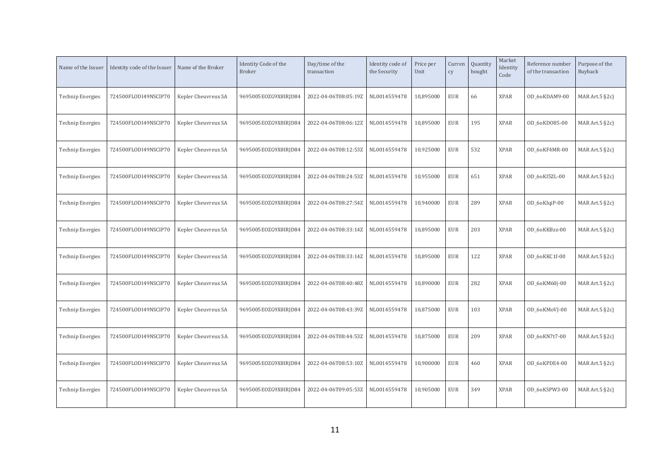| Name of the Issuer      | Identity code of the Issuer | Name of the Broker  | Identity Code of the<br><b>Broker</b> | Day/time of the<br>transaction | Identity code of<br>the Security | Price per<br>Unit | Curren<br>cy | Quantity<br>bought | Market<br>Identity<br>Code | Reference number<br>of the transaction | Purpose of the<br>Buyback |
|-------------------------|-----------------------------|---------------------|---------------------------------------|--------------------------------|----------------------------------|-------------------|--------------|--------------------|----------------------------|----------------------------------------|---------------------------|
| <b>Technip Energies</b> | 724500FLODI49NSCIP70        | Kepler Cheuvreux SA | 9695005EOZG9X8IRJD84                  | 2022-04-06T08:05:19Z           | NL0014559478                     | 10,895000         | <b>EUR</b>   | 66                 | <b>XPAR</b>                | OD_6oKDAM9-00                          | MAR Art. $5$ $\S$ 2c)     |
| <b>Technip Energies</b> | 724500FLODI49NSCIP70        | Kepler Cheuvreux SA | 9695005EOZG9X8IRJD84                  | 2022-04-06T08:06:12Z           | NL0014559478                     | 10,895000         | <b>EUR</b>   | 195                | <b>XPAR</b>                | OD_6oKD085-00                          | MAR Art.5 §2c)            |
| <b>Technip Energies</b> | 724500FLODI49NSCIP70        | Kepler Cheuvreux SA | 9695005EOZG9X8IRJD84                  | 2022-04-06T08:12:53Z           | NL0014559478                     | 10,925000         | <b>EUR</b>   | 532                | <b>XPAR</b>                | OD 6oKF4MR-00                          | MAR Art. $5$ $\S$ 2c)     |
| <b>Technip Energies</b> | 724500FLODI49NSCIP70        | Kepler Cheuvreux SA | 9695005EOZG9X8IRJD84                  | 2022-04-06T08:24:53Z           | NL0014559478                     | 10,955000         | <b>EUR</b>   | 651                | <b>XPAR</b>                | OD_6oKI5ZL-00                          | MAR Art. $5$ $\S$ 2c)     |
| <b>Technip Energies</b> | 724500FLODI49NSCIP70        | Kepler Cheuvreux SA | 9695005EOZG9X8IRJD84                  | 2022-04-06T08:27:54Z           | NL0014559478                     | 10,940000         | <b>EUR</b>   | 289                | <b>XPAR</b>                | OD_6oKIqiP-00                          | MAR Art.5 §2c)            |
| <b>Technip Energies</b> | 724500FLODI49NSCIP70        | Kepler Cheuvreux SA | 9695005EOZG9X8IRJD84                  | 2022-04-06T08:33:14Z           | NL0014559478                     | 10,895000         | <b>EUR</b>   | 203                | <b>XPAR</b>                | OD 60KKBzz-00                          | MAR Art. $5$ §2c)         |
| <b>Technip Energies</b> | 724500FLODI49NSCIP70        | Kepler Cheuvreux SA | 9695005EOZG9X8IRJD84                  | 2022-04-06T08:33:14Z           | NL0014559478                     | 10,895000         | <b>EUR</b>   | 122                | <b>XPAR</b>                | OD_6oKKC1f-00                          | MAR Art.5 §2c)            |
| <b>Technip Energies</b> | 724500FLODI49NSCIP70        | Kepler Cheuvreux SA | 9695005EOZG9X8IRJD84                  | 2022-04-06T08:40:48Z           | NL0014559478                     | 10,890000         | <b>EUR</b>   | 282                | <b>XPAR</b>                | OD_6oKM60j-00                          | MAR Art.5 §2c)            |
| <b>Technip Energies</b> | 724500FLODI49NSCIP70        | Kepler Cheuvreux SA | 9695005E0ZG9X8IRJD84                  | 2022-04-06T08:43:39Z           | NL0014559478                     | 10,875000         | <b>EUR</b>   | 103                | <b>XPAR</b>                | OD_6oKMoVJ-00                          | MAR Art. $5$ §2c)         |
| <b>Technip Energies</b> | 724500FLODI49NSCIP70        | Kepler Cheuvreux SA | 9695005EOZG9X8IRJD84                  | 2022-04-06T08:44:53Z           | NL0014559478                     | 10,875000         | <b>EUR</b>   | 209                | <b>XPAR</b>                | OD 6oKN7t7-00                          | MAR Art.5 §2c)            |
| <b>Technip Energies</b> | 724500FLODI49NSCIP70        | Kepler Cheuvreux SA | 9695005EOZG9X8IRJD84                  | 2022-04-06T08:53:10Z           | NL0014559478                     | 10,900000         | <b>EUR</b>   | 460                | <b>XPAR</b>                | OD_6oKPDE4-00                          | MAR Art.5 §2c)            |
| Technip Energies        | 724500FLODI49NSCIP70        | Kepler Cheuvreux SA | 9695005EOZG9X8IRJD84                  | 2022-04-06T09:05:53Z           | NL0014559478                     | 10,905000         | <b>EUR</b>   | 349                | <b>XPAR</b>                | OD 6oKSPW3-00                          | MAR Art. $5$ §2c)         |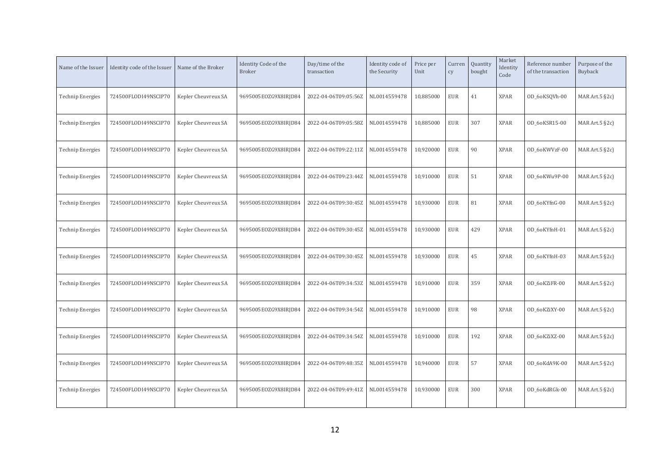| Name of the Issuer      | Identity code of the Issuer | Name of the Broker  | Identity Code of the<br><b>Broker</b> | Day/time of the<br>transaction | Identity code of<br>the Security | Price per<br>Unit | Curren<br>cy | Quantity<br>bought | Market<br>Identity<br>Code | Reference number<br>of the transaction | Purpose of the<br>Buyback |
|-------------------------|-----------------------------|---------------------|---------------------------------------|--------------------------------|----------------------------------|-------------------|--------------|--------------------|----------------------------|----------------------------------------|---------------------------|
| <b>Technip Energies</b> | 724500FLODI49NSCIP70        | Kepler Cheuvreux SA | 9695005EOZG9X8IRJD84                  | 2022-04-06T09:05:56Z           | NL0014559478                     | 10,885000         | <b>EUR</b>   | 41                 | <b>XPAR</b>                | OD_6oKSQVh-00                          | MAR Art. $5$ §2c)         |
| <b>Technip Energies</b> | 724500FLODI49NSCIP70        | Kepler Cheuvreux SA | 9695005EOZG9X8IRJD84                  | 2022-04-06T09:05:58Z           | NL0014559478                     | 10,885000         | <b>EUR</b>   | 307                | <b>XPAR</b>                | OD 6oKSR15-00                          | MAR Art.5 §2c)            |
| <b>Technip Energies</b> | 724500FLODI49NSCIP70        | Kepler Cheuvreux SA | 9695005EOZG9X8IRJD84                  | 2022-04-06T09:22:11Z           | NL0014559478                     | 10,920000         | <b>EUR</b>   | 90                 | <b>XPAR</b>                | OD 60KWVzF-00                          | MAR Art. $5$ §2c)         |
| <b>Technip Energies</b> | 724500FLODI49NSCIP70        | Kepler Cheuvreux SA | 9695005EOZG9X8IRJD84                  | 2022-04-06T09:23:44Z           | NL0014559478                     | 10,910000         | <b>EUR</b>   | 51                 | <b>XPAR</b>                | OD_6oKWu9P-00                          | MAR Art. $5$ §2c)         |
| <b>Technip Energies</b> | 724500FLODI49NSCIP70        | Kepler Cheuvreux SA | 9695005EOZG9X8IRJD84                  | 2022-04-06T09:30:45Z           | NL0014559478                     | 10,930000         | <b>EUR</b>   | 81                 | <b>XPAR</b>                | OD 6oKYfnG-00                          | MAR Art.5 §2c)            |
| <b>Technip Energies</b> | 724500FLODI49NSCIP70        | Kepler Cheuvreux SA | 9695005EOZG9X8IRJD84                  | 2022-04-06T09:30:45Z           | NL0014559478                     | 10,930000         | <b>EUR</b>   | 429                | <b>XPAR</b>                | OD 6oKYfnH-01                          | MAR Art. $5$ §2c)         |
| <b>Technip Energies</b> | 724500FLODI49NSCIP70        | Kepler Cheuvreux SA | 9695005EOZG9X8IRJD84                  | 2022-04-06T09:30:45Z           | NL0014559478                     | 10,930000         | <b>EUR</b>   | 45                 | <b>XPAR</b>                | OD_6oKYfnH-03                          | MAR Art.5 §2c)            |
| <b>Technip Energies</b> | 724500FLODI49NSCIP70        | Kepler Cheuvreux SA | 9695005EOZG9X8IRJD84                  | 2022-04-06T09:34:53Z           | NL0014559478                     | 10,910000         | <b>EUR</b>   | 359                | <b>XPAR</b>                | OD_6oKZiFR-00                          | MAR Art.5 §2c)            |
| <b>Technip Energies</b> | 724500FLODI49NSCIP70        | Kepler Cheuvreux SA | 9695005E0ZG9X8IRJD84                  | 2022-04-06T09:34:54Z           | NL0014559478                     | 10,910000         | <b>EUR</b>   | 98                 | <b>XPAR</b>                | OD 6oKZiXY-00                          | MAR Art. $5$ §2c)         |
| <b>Technip Energies</b> | 724500FLODI49NSCIP70        | Kepler Cheuvreux SA | 9695005EOZG9X8IRJD84                  | 2022-04-06T09:34:54Z           | NL0014559478                     | 10,910000         | <b>EUR</b>   | 192                | <b>XPAR</b>                | OD_6oKZiXZ-00                          | MAR Art.5 §2c)            |
| <b>Technip Energies</b> | 724500FLODI49NSCIP70        | Kepler Cheuvreux SA | 9695005EOZG9X8IRJD84                  | 2022-04-06T09:48:35Z           | NL0014559478                     | 10,940000         | <b>EUR</b>   | 57                 | <b>XPAR</b>                | OD_6oKdA9K-00                          | MAR Art.5 §2c)            |
| Technip Energies        | 724500FLODI49NSCIP70        | Kepler Cheuvreux SA | 9695005EOZG9X8IRJD84                  | 2022-04-06T09:49:41Z           | NL0014559478                     | 10,930000         | <b>EUR</b>   | 300                | <b>XPAR</b>                | OD 6oKdRGk-00                          | MAR Art. $5$ $\S$ 2c)     |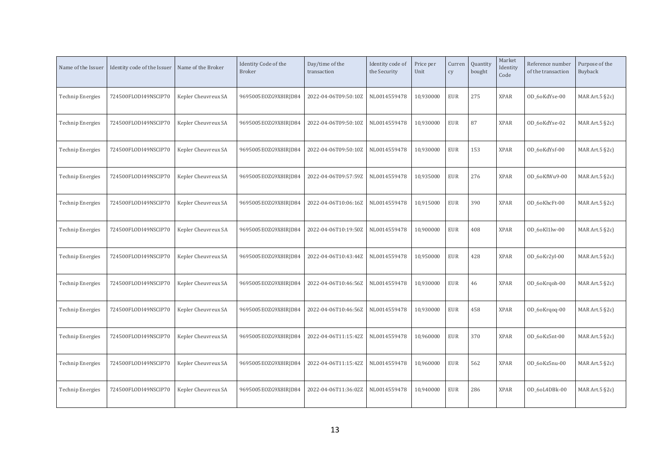| Name of the Issuer      | Identity code of the Issuer | Name of the Broker  | Identity Code of the<br><b>Broker</b> | Day/time of the<br>transaction | Identity code of<br>the Security | Price per<br>Unit | Curren<br>cy | Quantity<br>bought | Market<br>Identity<br>Code | Reference number<br>of the transaction | Purpose of the<br>Buyback |
|-------------------------|-----------------------------|---------------------|---------------------------------------|--------------------------------|----------------------------------|-------------------|--------------|--------------------|----------------------------|----------------------------------------|---------------------------|
| <b>Technip Energies</b> | 724500FLODI49NSCIP70        | Kepler Cheuvreux SA | 9695005EOZG9X8IRJD84                  | 2022-04-06T09:50:10Z           | NL0014559478                     | 10,930000         | <b>EUR</b>   | 275                | <b>XPAR</b>                | OD_6oKdYse-00                          | MAR Art. $5$ $\S$ 2c)     |
| <b>Technip Energies</b> | 724500FLODI49NSCIP70        | Kepler Cheuvreux SA | 9695005EOZG9X8IRJD84                  | 2022-04-06T09:50:10Z           | NL0014559478                     | 10,930000         | <b>EUR</b>   | 87                 | <b>XPAR</b>                | OD 6oKdYse-02                          | MAR Art.5 §2c)            |
| <b>Technip Energies</b> | 724500FLODI49NSCIP70        | Kepler Cheuvreux SA | 9695005EOZG9X8IRJD84                  | 2022-04-06T09:50:10Z           | NL0014559478                     | 10,930000         | <b>EUR</b>   | 153                | <b>XPAR</b>                | OD 6oKdYsf-00                          | MAR Art. $5$ $\S$ 2c)     |
| <b>Technip Energies</b> | 724500FLODI49NSCIP70        | Kepler Cheuvreux SA | 9695005EOZG9X8IRJD84                  | 2022-04-06T09:57:59Z           | NL0014559478                     | 10,935000         | <b>EUR</b>   | 276                | <b>XPAR</b>                | OD_6oKfWu9-00                          | MAR Art. $5$ $\S$ 2c)     |
| <b>Technip Energies</b> | 724500FLODI49NSCIP70        | Kepler Cheuvreux SA | 9695005EOZG9X8IRJD84                  | 2022-04-06T10:06:16Z           | NL0014559478                     | 10,915000         | <b>EUR</b>   | 390                | <b>XPAR</b>                | OD 6oKhcFt-00                          | MAR Art.5 §2c)            |
| <b>Technip Energies</b> | 724500FLODI49NSCIP70        | Kepler Cheuvreux SA | 9695005EOZG9X8IRJD84                  | 2022-04-06T10:19:50Z           | NL0014559478                     | 10,900000         | <b>EUR</b>   | 408                | <b>XPAR</b>                | OD 6oKl1lw-00                          | MAR Art. $5$ $\S$ 2c)     |
| <b>Technip Energies</b> | 724500FLODI49NSCIP70        | Kepler Cheuvreux SA | 9695005EOZG9X8IRJD84                  | 2022-04-06T10:43:44Z           | NL0014559478                     | 10,950000         | <b>EUR</b>   | 428                | <b>XPAR</b>                | OD_6oKr2yI-00                          | MAR Art.5 §2c)            |
| <b>Technip Energies</b> | 724500FLODI49NSCIP70        | Kepler Cheuvreux SA | 9695005EOZG9X8IRJD84                  | 2022-04-06T10:46:56Z           | NL0014559478                     | 10,930000         | <b>EUR</b>   | 46                 | <b>XPAR</b>                | OD_6oKrgoh-00                          | MAR Art. $5$ $\S$ 2c)     |
| <b>Technip Energies</b> | 724500FLODI49NSCIP70        | Kepler Cheuvreux SA | 9695005E0ZG9X8IRJD84                  | 2022-04-06T10:46:56Z           | NL0014559478                     | 10,930000         | <b>EUR</b>   | 458                | <b>XPAR</b>                | OD_6oKrgog-00                          | MAR Art. $5$ $\S$ 2c)     |
| <b>Technip Energies</b> | 724500FLODI49NSCIP70        | Kepler Cheuvreux SA | 9695005EOZG9X8IRJD84                  | 2022-04-06T11:15:42Z           | NL0014559478                     | 10,960000         | <b>EUR</b>   | 370                | <b>XPAR</b>                | OD_6oKz5nt-00                          | MAR Art.5 §2c)            |
| <b>Technip Energies</b> | 724500FLODI49NSCIP70        | Kepler Cheuvreux SA | 9695005EOZG9X8IRJD84                  | 2022-04-06T11:15:42Z           | NL0014559478                     | 10,960000         | <b>EUR</b>   | 562                | <b>XPAR</b>                | OD_6oKz5nu-00                          | MAR Art.5 §2c)            |
| Technip Energies        | 724500FLODI49NSCIP70        | Kepler Cheuvreux SA | 9695005EOZG9X8IRJD84                  | 2022-04-06T11:36:02Z           | NL0014559478                     | 10,940000         | <b>EUR</b>   | 286                | <b>XPAR</b>                | OD 6oL4DBk-00                          | MAR Art. $5$ $\S$ 2c)     |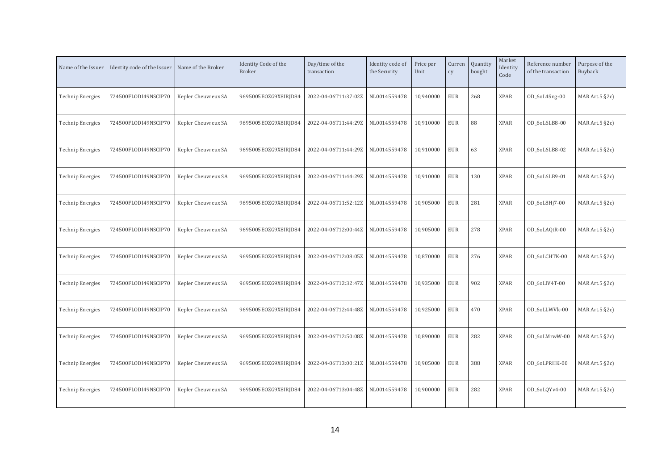| Name of the Issuer      | Identity code of the Issuer | Name of the Broker  | Identity Code of the<br><b>Broker</b> | Day/time of the<br>transaction | Identity code of<br>the Security | Price per<br>Unit | Curren<br>cy | Quantity<br>bought | Market<br>Identity<br>Code | Reference number<br>of the transaction | Purpose of the<br>Buyback |
|-------------------------|-----------------------------|---------------------|---------------------------------------|--------------------------------|----------------------------------|-------------------|--------------|--------------------|----------------------------|----------------------------------------|---------------------------|
| <b>Technip Energies</b> | 724500FLODI49NSCIP70        | Kepler Cheuvreux SA | 9695005EOZG9X8IRJD84                  | 2022-04-06T11:37:02Z           | NL0014559478                     | 10,940000         | <b>EUR</b>   | 268                | <b>XPAR</b>                | OD_6oL4Sng-00                          | MAR Art. $5$ §2c)         |
| <b>Technip Energies</b> | 724500FLODI49NSCIP70        | Kepler Cheuvreux SA | 9695005EOZG9X8IRJD84                  | 2022-04-06T11:44:29Z           | NL0014559478                     | 10,910000         | <b>EUR</b>   | 88                 | <b>XPAR</b>                | OD_6oL6LB8-00                          | MAR Art.5 §2c)            |
| <b>Technip Energies</b> | 724500FLODI49NSCIP70        | Kepler Cheuvreux SA | 9695005EOZG9X8IRJD84                  | 2022-04-06T11:44:29Z           | NL0014559478                     | 10,910000         | <b>EUR</b>   | 63                 | <b>XPAR</b>                | OD 6oL6LB8-02                          | MAR Art. $5$ §2c)         |
| <b>Technip Energies</b> | 724500FLODI49NSCIP70        | Kepler Cheuvreux SA | 9695005EOZG9X8IRJD84                  | 2022-04-06T11:44:29Z           | NL0014559478                     | 10,910000         | <b>EUR</b>   | 130                | <b>XPAR</b>                | OD_6oL6LB9-01                          | MAR Art. $5$ §2c)         |
| <b>Technip Energies</b> | 724500FLODI49NSCIP70        | Kepler Cheuvreux SA | 9695005EOZG9X8IRJD84                  | 2022-04-06T11:52:12Z           | NL0014559478                     | 10,905000         | <b>EUR</b>   | 281                | <b>XPAR</b>                | OD_6oL8Hj7-00                          | MAR Art.5 §2c)            |
| <b>Technip Energies</b> | 724500FLODI49NSCIP70        | Kepler Cheuvreux SA | 9695005EOZG9X8IRJD84                  | 2022-04-06T12:00:44Z           | NL0014559478                     | 10,905000         | <b>EUR</b>   | 278                | <b>XPAR</b>                | OD_6oLAQtR-00                          | MAR Art. $5$ §2c)         |
| <b>Technip Energies</b> | 724500FLODI49NSCIP70        | Kepler Cheuvreux SA | 9695005EOZG9X8IRJD84                  | 2022-04-06T12:08:05Z           | NL0014559478                     | 10,870000         | <b>EUR</b>   | 276                | <b>XPAR</b>                | OD_6oLCHTK-00                          | MAR Art.5 §2c)            |
| <b>Technip Energies</b> | 724500FLODI49NSCIP70        | Kepler Cheuvreux SA | 9695005EOZG9X8IRJD84                  | 2022-04-06T12:32:47Z           | NL0014559478                     | 10,935000         | <b>EUR</b>   | 902                | <b>XPAR</b>                | OD_6oLIV4T-00                          | MAR Art.5 §2c)            |
| <b>Technip Energies</b> | 724500FLODI49NSCIP70        | Kepler Cheuvreux SA | 9695005E0ZG9X8IRJD84                  | 2022-04-06T12:44:48Z           | NL0014559478                     | 10,925000         | <b>EUR</b>   | 470                | <b>XPAR</b>                | OD 6oLLWVk-00                          | MAR Art. $5$ §2c)         |
| <b>Technip Energies</b> | 724500FLODI49NSCIP70        | Kepler Cheuvreux SA | 9695005EOZG9X8IRJD84                  | 2022-04-06T12:50:08Z           | NL0014559478                     | 10,890000         | <b>EUR</b>   | 282                | <b>XPAR</b>                | OD 6oLMrwW-00                          | MAR Art.5 §2c)            |
| <b>Technip Energies</b> | 724500FLODI49NSCIP70        | Kepler Cheuvreux SA | 9695005EOZG9X8IRJD84                  | 2022-04-06T13:00:21Z           | NL0014559478                     | 10,905000         | <b>EUR</b>   | 388                | <b>XPAR</b>                | OD_6oLPRHK-00                          | MAR Art.5 §2c)            |
| Technip Energies        | 724500FLODI49NSCIP70        | Kepler Cheuvreux SA | 9695005EOZG9X8IRJD84                  | 2022-04-06T13:04:48Z           | NL0014559478                     | 10,900000         | <b>EUR</b>   | 282                | <b>XPAR</b>                | OD_6oLQYv4-00                          | MAR Art. $5$ §2c)         |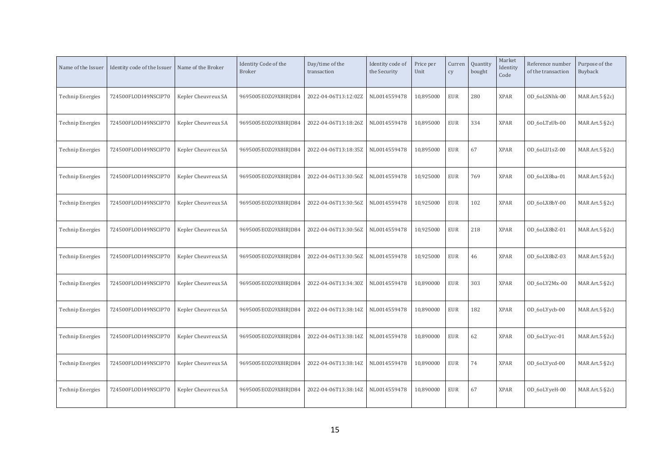| Name of the Issuer      | Identity code of the Issuer | Name of the Broker  | Identity Code of the<br><b>Broker</b> | Day/time of the<br>transaction | Identity code of<br>the Security | Price per<br>Unit | Curren<br>cy | Quantity<br>bought | Market<br>Identity<br>Code | Reference number<br>of the transaction | Purpose of the<br>Buyback |
|-------------------------|-----------------------------|---------------------|---------------------------------------|--------------------------------|----------------------------------|-------------------|--------------|--------------------|----------------------------|----------------------------------------|---------------------------|
| <b>Technip Energies</b> | 724500FLODI49NSCIP70        | Kepler Cheuvreux SA | 9695005EOZG9X8IRJD84                  | 2022-04-06T13:12:02Z           | NL0014559478                     | 10,895000         | <b>EUR</b>   | 280                | <b>XPAR</b>                | OD_6oLSNhk-00                          | MAR Art. $5$ §2c)         |
| <b>Technip Energies</b> | 724500FLODI49NSCIP70        | Kepler Cheuvreux SA | 9695005EOZG9X8IRJD84                  | 2022-04-06T13:18:26Z           | NL0014559478                     | 10,895000         | <b>EUR</b>   | 334                | <b>XPAR</b>                | OD_6oLTzUb-00                          | MAR Art. $5$ §2c)         |
| <b>Technip Energies</b> | 724500FLODI49NSCIP70        | Kepler Cheuvreux SA | 9695005EOZG9X8IRJD84                  | 2022-04-06T13:18:35Z           | NL0014559478                     | 10,895000         | <b>EUR</b>   | 67                 | <b>XPAR</b>                | OD_6oLU1sZ-00                          | MAR Art. $5$ §2c)         |
| <b>Technip Energies</b> | 724500FLODI49NSCIP70        | Kepler Cheuvreux SA | 9695005EOZG9X8IRJD84                  | 2022-04-06T13:30:56Z           | NL0014559478                     | 10,925000         | <b>EUR</b>   | 769                | <b>XPAR</b>                | OD_6oLX8ba-01                          | MAR Art.5 §2c)            |
| <b>Technip Energies</b> | 724500FLODI49NSCIP70        | Kepler Cheuvreux SA | 9695005EOZG9X8IRJD84                  | 2022-04-06T13:30:56Z           | NL0014559478                     | 10,925000         | <b>EUR</b>   | 102                | <b>XPAR</b>                | OD 6oLX8bY-00                          | MAR Art. $5$ §2c)         |
| <b>Technip Energies</b> | 724500FLODI49NSCIP70        | Kepler Cheuvreux SA | 9695005EOZG9X8IRJD84                  | 2022-04-06T13:30:56Z           | NL0014559478                     | 10,925000         | <b>EUR</b>   | 218                | <b>XPAR</b>                | OD 6oLX8bZ-01                          | MAR Art. $5$ §2c)         |
| <b>Technip Energies</b> | 724500FLODI49NSCIP70        | Kepler Cheuvreux SA | 9695005EOZG9X8IRJD84                  | 2022-04-06T13:30:56Z           | NL0014559478                     | 10,925000         | <b>EUR</b>   | 46                 | <b>XPAR</b>                | OD_6oLX8bZ-03                          | MAR Art. $5$ §2c)         |
| <b>Technip Energies</b> | 724500FLODI49NSCIP70        | Kepler Cheuvreux SA | 9695005EOZG9X8IRJD84                  | 2022-04-06T13:34:30Z           | NL0014559478                     | 10,890000         | <b>EUR</b>   | 303                | <b>XPAR</b>                | OD_6oLY2Mx-00                          | MAR Art. $5$ $\S$ 2c)     |
| <b>Technip Energies</b> | 724500FLODI49NSCIP70        | Kepler Cheuvreux SA | 9695005EOZG9X8IRJD84                  | 2022-04-06T13:38:14Z           | NL0014559478                     | 10,890000         | <b>EUR</b>   | 182                | <b>XPAR</b>                | OD_6oLYycb-00                          | MAR Art. $5$ $\S$ 2c)     |
| <b>Technip Energies</b> | 724500FLODI49NSCIP70        | Kepler Cheuvreux SA | 9695005EOZG9X8IRJD84                  | 2022-04-06T13:38:14Z           | NL0014559478                     | 10,890000         | <b>EUR</b>   | 62                 | <b>XPAR</b>                | OD_6oLYycc-01                          | MAR Art.5 §2c)            |
| <b>Technip Energies</b> | 724500FLODI49NSCIP70        | Kepler Cheuvreux SA | 9695005EOZG9X8IRJD84                  | 2022-04-06T13:38:14Z           | NL0014559478                     | 10,890000         | <b>EUR</b>   | 74                 | <b>XPAR</b>                | OD_6oLYycd-00                          | MAR Art. $5$ $\S$ 2c)     |
| <b>Technip Energies</b> | 724500FLODI49NSCIP70        | Kepler Cheuvreux SA | 9695005EOZG9X8IRJD84                  | 2022-04-06T13:38:14Z           | NL0014559478                     | 10,890000         | <b>EUR</b>   | 67                 | <b>XPAR</b>                | OD_6oLYyeH-00                          | MAR Art. $5$ $\S$ 2c)     |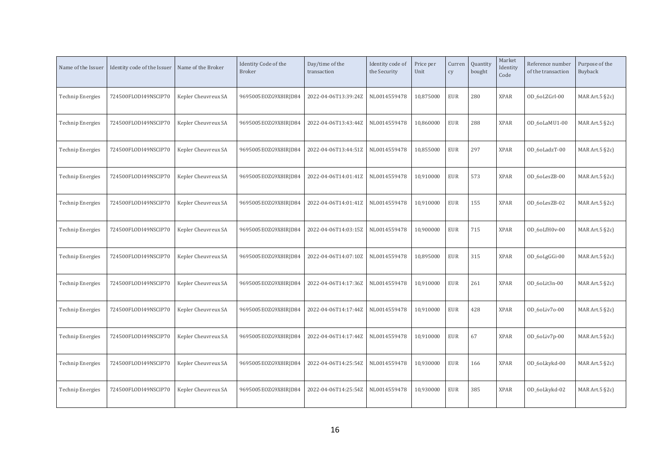| Name of the Issuer      | Identity code of the Issuer | Name of the Broker  | Identity Code of the<br><b>Broker</b> | Day/time of the<br>transaction | Identity code of<br>the Security | Price per<br>Unit | Curren<br>cy | Quantity<br>bought | Market<br>Identity<br>Code | Reference number<br>of the transaction | Purpose of the<br>Buyback |
|-------------------------|-----------------------------|---------------------|---------------------------------------|--------------------------------|----------------------------------|-------------------|--------------|--------------------|----------------------------|----------------------------------------|---------------------------|
| <b>Technip Energies</b> | 724500FLODI49NSCIP70        | Kepler Cheuvreux SA | 9695005EOZG9X8IRJD84                  | 2022-04-06T13:39:24Z           | NL0014559478                     | 10,875000         | <b>EUR</b>   | 280                | <b>XPAR</b>                | OD_6oLZGrI-00                          | MAR Art. $5$ $\S$ 2c)     |
| <b>Technip Energies</b> | 724500FLODI49NSCIP70        | Kepler Cheuvreux SA | 9695005EOZG9X8IRJD84                  | 2022-04-06T13:43:44Z           | NL0014559478                     | 10,860000         | <b>EUR</b>   | 288                | <b>XPAR</b>                | OD 6oLaMU1-00                          | MAR Art.5 §2c)            |
| <b>Technip Energies</b> | 724500FLODI49NSCIP70        | Kepler Cheuvreux SA | 9695005EOZG9X8IRJD84                  | 2022-04-06T13:44:51Z           | NL0014559478                     | 10,855000         | <b>EUR</b>   | 297                | <b>XPAR</b>                | OD 6oLadzT-00                          | MAR Art. $5$ $\S$ 2c)     |
| <b>Technip Energies</b> | 724500FLODI49NSCIP70        | Kepler Cheuvreux SA | 9695005EOZG9X8IRJD84                  | 2022-04-06T14:01:41Z           | NL0014559478                     | 10,910000         | <b>EUR</b>   | 573                | <b>XPAR</b>                | OD_6oLesZB-00                          | MAR Art. $5$ $\S$ 2c)     |
| <b>Technip Energies</b> | 724500FLODI49NSCIP70        | Kepler Cheuvreux SA | 9695005EOZG9X8IRJD84                  | 2022-04-06T14:01:41Z           | NL0014559478                     | 10,910000         | <b>EUR</b>   | 155                | <b>XPAR</b>                | OD_6oLesZB-02                          | MAR Art.5 §2c)            |
| <b>Technip Energies</b> | 724500FLODI49NSCIP70        | Kepler Cheuvreux SA | 9695005EOZG9X8IRJD84                  | 2022-04-06T14:03:15Z           | NL0014559478                     | 10,900000         | <b>EUR</b>   | 715                | <b>XPAR</b>                | OD 6oLfH0v-00                          | MAR Art. $5$ $\S$ 2c)     |
| <b>Technip Energies</b> | 724500FLODI49NSCIP70        | Kepler Cheuvreux SA | 9695005EOZG9X8IRJD84                  | 2022-04-06T14:07:10Z           | NL0014559478                     | 10,895000         | <b>EUR</b>   | 315                | <b>XPAR</b>                | OD_6oLgGGi-00                          | MAR Art.5 §2c)            |
| <b>Technip Energies</b> | 724500FLODI49NSCIP70        | Kepler Cheuvreux SA | 9695005EOZG9X8IRJD84                  | 2022-04-06T14:17:36Z           | NL0014559478                     | 10,910000         | <b>EUR</b>   | 261                | <b>XPAR</b>                | OD_6oLit3n-00                          | MAR Art.5 §2c)            |
| <b>Technip Energies</b> | 724500FLODI49NSCIP70        | Kepler Cheuvreux SA | 9695005E0ZG9X8IRJD84                  | 2022-04-06T14:17:44Z           | NL0014559478                     | 10,910000         | <b>EUR</b>   | 428                | <b>XPAR</b>                | OD 60Liv70-00                          | MAR Art. $5$ $\S$ 2c)     |
| <b>Technip Energies</b> | 724500FLODI49NSCIP70        | Kepler Cheuvreux SA | 9695005EOZG9X8IRJD84                  | 2022-04-06T14:17:44Z           | NL0014559478                     | 10,910000         | <b>EUR</b>   | 67                 | <b>XPAR</b>                | OD_6oLiv7p-00                          | MAR Art.5 §2c)            |
| <b>Technip Energies</b> | 724500FLODI49NSCIP70        | Kepler Cheuvreux SA | 9695005EOZG9X8IRJD84                  | 2022-04-06T14:25:54Z           | NL0014559478                     | 10,930000         | <b>EUR</b>   | 166                | <b>XPAR</b>                | OD_6oLkykd-00                          | MAR Art.5 §2c)            |
| Technip Energies        | 724500FLODI49NSCIP70        | Kepler Cheuvreux SA | 9695005EOZG9X8IRJD84                  | 2022-04-06T14:25:54Z           | NL0014559478                     | 10,930000         | <b>EUR</b>   | 385                | <b>XPAR</b>                | OD_6oLkykd-02                          | MAR Art. $5$ $\S$ 2c)     |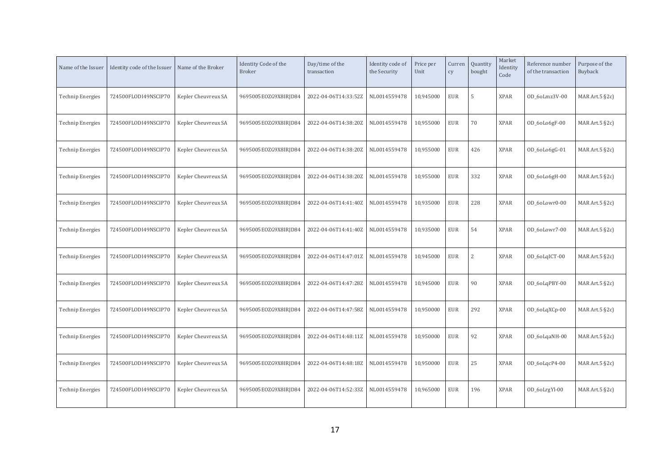| Name of the Issuer      | Identity code of the Issuer | Name of the Broker  | Identity Code of the<br><b>Broker</b> | Day/time of the<br>transaction | Identity code of<br>the Security | Price per<br>Unit | Curren<br>cy | Quantity<br>bought | Market<br>Identity<br>Code | Reference number<br>of the transaction | Purpose of the<br>Buyback |
|-------------------------|-----------------------------|---------------------|---------------------------------------|--------------------------------|----------------------------------|-------------------|--------------|--------------------|----------------------------|----------------------------------------|---------------------------|
| <b>Technip Energies</b> | 724500FLODI49NSCIP70        | Kepler Cheuvreux SA | 9695005EOZG9X8IRJD84                  | 2022-04-06T14:33:52Z           | NL0014559478                     | 10,945000         | <b>EUR</b>   | 5                  | <b>XPAR</b>                | OD 6oLmz3V-00                          | MAR Art. $5$ $\S$ 2c)     |
| <b>Technip Energies</b> | 724500FLODI49NSCIP70        | Kepler Cheuvreux SA | 9695005EOZG9X8IRJD84                  | 2022-04-06T14:38:20Z           | NL0014559478                     | 10,955000         | <b>EUR</b>   | 70                 | <b>XPAR</b>                | OD_6oLo6gF-00                          | MAR Art.5 §2c)            |
| <b>Technip Energies</b> | 724500FLODI49NSCIP70        | Kepler Cheuvreux SA | 9695005EOZG9X8IRJD84                  | 2022-04-06T14:38:20Z           | NL0014559478                     | 10,955000         | <b>EUR</b>   | 426                | <b>XPAR</b>                | OD_6oLo6gG-01                          | MAR Art. $5$ $\S$ 2c)     |
| <b>Technip Energies</b> | 724500FLODI49NSCIP70        | Kepler Cheuvreux SA | 9695005EOZG9X8IRJD84                  | 2022-04-06T14:38:20Z           | NL0014559478                     | 10,955000         | <b>EUR</b>   | 332                | <b>XPAR</b>                | OD_6oLo6gH-00                          | MAR Art. $5$ $\S$ 2c)     |
| <b>Technip Energies</b> | 724500FLODI49NSCIP70        | Kepler Cheuvreux SA | 9695005EOZG9X8IRJD84                  | 2022-04-06T14:41:40Z           | NL0014559478                     | 10,935000         | <b>EUR</b>   | 228                | <b>XPAR</b>                | OD 6oLowr0-00                          | MAR Art.5 §2c)            |
| <b>Technip Energies</b> | 724500FLODI49NSCIP70        | Kepler Cheuvreux SA | 9695005EOZG9X8IRJD84                  | 2022-04-06T14:41:40Z           | NL0014559478                     | 10,935000         | <b>EUR</b>   | 54                 | <b>XPAR</b>                | OD 6oLowr7-00                          | MAR Art. $5$ $\S$ 2c)     |
| <b>Technip Energies</b> | 724500FLODI49NSCIP70        | Kepler Cheuvreux SA | 9695005EOZG9X8IRJD84                  | 2022-04-06T14:47:01Z           | NL0014559478                     | 10,945000         | <b>EUR</b>   | $\overline{2}$     | <b>XPAR</b>                | OD_6oLqICT-00                          | MAR Art.5 §2c)            |
| <b>Technip Energies</b> | 724500FLODI49NSCIP70        | Kepler Cheuvreux SA | 9695005EOZG9X8IRJD84                  | 2022-04-06T14:47:28Z           | NL0014559478                     | 10,945000         | <b>EUR</b>   | 90                 | <b>XPAR</b>                | OD_6oLqPBY-00                          | MAR Art.5 §2c)            |
| <b>Technip Energies</b> | 724500FLODI49NSCIP70        | Kepler Cheuvreux SA | 9695005E0ZG9X8IRJD84                  | 2022-04-06T14:47:58Z           | NL0014559478                     | 10,950000         | <b>EUR</b>   | 292                | <b>XPAR</b>                | OD_6oLqXCp-00                          | MAR Art. $5$ $\S$ 2c)     |
| <b>Technip Energies</b> | 724500FLODI49NSCIP70        | Kepler Cheuvreux SA | 9695005EOZG9X8IRJD84                  | 2022-04-06T14:48:11Z           | NL0014559478                     | 10,950000         | <b>EUR</b>   | 92                 | <b>XPAR</b>                | OD_6oLqaNH-00                          | MAR Art.5 §2c)            |
| <b>Technip Energies</b> | 724500FLODI49NSCIP70        | Kepler Cheuvreux SA | 9695005EOZG9X8IRJD84                  | 2022-04-06T14:48:18Z           | NL0014559478                     | 10,950000         | <b>EUR</b>   | 25                 | <b>XPAR</b>                | OD_6oLqcP4-00                          | MAR Art.5 §2c)            |
| Technip Energies        | 724500FLODI49NSCIP70        | Kepler Cheuvreux SA | 9695005EOZG9X8IRJD84                  | 2022-04-06T14:52:33Z           | NL0014559478                     | 10,965000         | <b>EUR</b>   | 196                | <b>XPAR</b>                | OD_6oLrgYl-00                          | MAR Art. $5$ $\S$ 2c)     |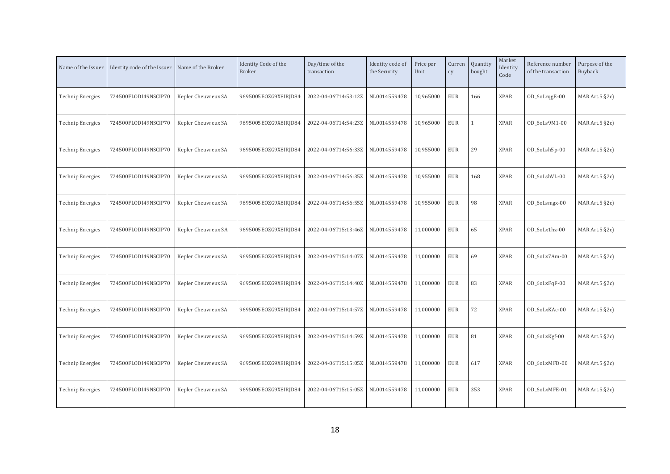| Name of the Issuer      | Identity code of the Issuer | Name of the Broker  | Identity Code of the<br><b>Broker</b> | Day/time of the<br>transaction | Identity code of<br>the Security | Price per<br>Unit | Curren<br>cy | Quantity<br>bought | Market<br>Identity<br>Code | Reference number<br>of the transaction | Purpose of the<br>Buyback |
|-------------------------|-----------------------------|---------------------|---------------------------------------|--------------------------------|----------------------------------|-------------------|--------------|--------------------|----------------------------|----------------------------------------|---------------------------|
| <b>Technip Energies</b> | 724500FLODI49NSCIP70        | Kepler Cheuvreux SA | 9695005EOZG9X8IRJD84                  | 2022-04-06T14:53:12Z           | NL0014559478                     | 10,965000         | <b>EUR</b>   | 166                | <b>XPAR</b>                | OD_6oLrqgE-00                          | MAR Art. $5$ $\S$ 2c)     |
| <b>Technip Energies</b> | 724500FLODI49NSCIP70        | Kepler Cheuvreux SA | 9695005EOZG9X8IRJD84                  | 2022-04-06T14:54:23Z           | NL0014559478                     | 10,965000         | <b>EUR</b>   |                    | <b>XPAR</b>                | OD_6oLs9M1-00                          | MAR Art.5 §2c)            |
| <b>Technip Energies</b> | 724500FLODI49NSCIP70        | Kepler Cheuvreux SA | 9695005EOZG9X8IRJD84                  | 2022-04-06T14:56:33Z           | NL0014559478                     | 10,955000         | <b>EUR</b>   | 29                 | <b>XPAR</b>                | OD_6oLsh5p-00                          | MAR Art. $5$ $\S$ 2c)     |
| <b>Technip Energies</b> | 724500FLODI49NSCIP70        | Kepler Cheuvreux SA | 9695005EOZG9X8IRJD84                  | 2022-04-06T14:56:35Z           | NL0014559478                     | 10,955000         | <b>EUR</b>   | 168                | <b>XPAR</b>                | OD_6oLshVL-00                          | MAR Art. $5$ §2c)         |
| <b>Technip Energies</b> | 724500FLODI49NSCIP70        | Kepler Cheuvreux SA | 9695005EOZG9X8IRJD84                  | 2022-04-06T14:56:55Z           | NL0014559478                     | 10,955000         | <b>EUR</b>   | 98                 | <b>XPAR</b>                | OD_6oLsmgx-00                          | MAR Art.5 §2c)            |
| <b>Technip Energies</b> | 724500FLODI49NSCIP70        | Kepler Cheuvreux SA | 9695005EOZG9X8IRJD84                  | 2022-04-06T15:13:46Z           | NL0014559478                     | 11,000000         | <b>EUR</b>   | 65                 | <b>XPAR</b>                | OD 6oLx1hz-00                          | MAR Art. $5$ §2c)         |
| <b>Technip Energies</b> | 724500FLODI49NSCIP70        | Kepler Cheuvreux SA | 9695005EOZG9X8IRJD84                  | 2022-04-06T15:14:07Z           | NL0014559478                     | 11,000000         | <b>EUR</b>   | 69                 | <b>XPAR</b>                | OD_6oLx7Am-00                          | MAR Art.5 §2c)            |
| <b>Technip Energies</b> | 724500FLODI49NSCIP70        | Kepler Cheuvreux SA | 9695005EOZG9X8IRJD84                  | 2022-04-06T15:14:40Z           | NL0014559478                     | 11,000000         | <b>EUR</b>   | 83                 | <b>XPAR</b>                | OD_6oLxFqF-00                          | MAR Art.5 §2c)            |
| <b>Technip Energies</b> | 724500FLODI49NSCIP70        | Kepler Cheuvreux SA | 9695005E0ZG9X8IRJD84                  | 2022-04-06T15:14:57Z           | NL0014559478                     | 11,000000         | <b>EUR</b>   | 72                 | <b>XPAR</b>                | OD 60LxKAc-00                          | MAR Art. $5$ §2c)         |
| <b>Technip Energies</b> | 724500FLODI49NSCIP70        | Kepler Cheuvreux SA | 9695005EOZG9X8IRJD84                  | 2022-04-06T15:14:59Z           | NL0014559478                     | 11,000000         | <b>EUR</b>   | 81                 | <b>XPAR</b>                | OD_6oLxKgf-00                          | MAR Art.5 §2c)            |
| <b>Technip Energies</b> | 724500FLODI49NSCIP70        | Kepler Cheuvreux SA | 9695005EOZG9X8IRJD84                  | 2022-04-06T15:15:05Z           | NL0014559478                     | 11,000000         | <b>EUR</b>   | 617                | <b>XPAR</b>                | OD_6oLxMFD-00                          | MAR Art.5 §2c)            |
| Technip Energies        | 724500FLODI49NSCIP70        | Kepler Cheuvreux SA | 9695005EOZG9X8IRJD84                  | 2022-04-06T15:15:05Z           | NL0014559478                     | 11,000000         | <b>EUR</b>   | 353                | <b>XPAR</b>                | OD 60LxMFE-01                          | MAR Art. $5$ §2c)         |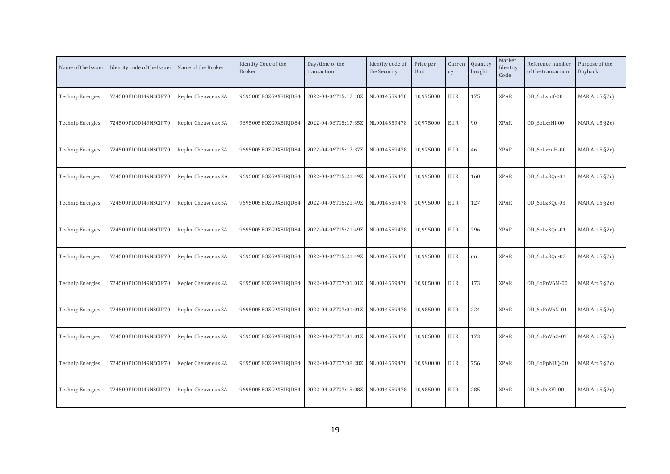| Name of the Issuer      | Identity code of the Issuer | Name of the Broker  | Identity Code of the<br><b>Broker</b> | Day/time of the<br>transaction | Identity code of<br>the Security | Price per<br>Unit | Curren<br>cy | Quantity<br>bought | Market<br>Identity<br>Code | Reference number<br>of the transaction | Purpose of the<br>Buyback |
|-------------------------|-----------------------------|---------------------|---------------------------------------|--------------------------------|----------------------------------|-------------------|--------------|--------------------|----------------------------|----------------------------------------|---------------------------|
| <b>Technip Energies</b> | 724500FLODI49NSCIP70        | Kepler Cheuvreux SA | 9695005EOZG9X8IRJD84                  | 2022-04-06T15:17:18Z           | NL0014559478                     | 10,975000         | <b>EUR</b>   | 175                | <b>XPAR</b>                | OD_6oLxutf-00                          | MAR Art.5 §2c)            |
| <b>Technip Energies</b> | 724500FLODI49NSCIP70        | Kepler Cheuvreux SA | 9695005EOZG9X8IRJD84                  | 2022-04-06T15:17:35Z           | NL0014559478                     | 10,975000         | <b>EUR</b>   | 90                 | <b>XPAR</b>                | OD 6oLxzHl-00                          | MAR Art.5 §2c)            |
| <b>Technip Energies</b> | 724500FLODI49NSCIP70        | Kepler Cheuvreux SA | 9695005EOZG9X8IRJD84                  | 2022-04-06T15:17:37Z           | NL0014559478                     | 10,975000         | <b>EUR</b>   | 46                 | <b>XPAR</b>                | OD 6oLxznH-00                          | MAR Art. $5$ §2c)         |
| <b>Technip Energies</b> | 724500FLODI49NSCIP70        | Kepler Cheuvreux SA | 9695005EOZG9X8IRJD84                  | 2022-04-06T15:21:49Z           | NL0014559478                     | 10,995000         | <b>EUR</b>   | 160                | <b>XPAR</b>                | OD_6oLz3Qc-01                          | MAR Art. $5$ §2c)         |
| <b>Technip Energies</b> | 724500FLODI49NSCIP70        | Kepler Cheuvreux SA | 9695005EOZG9X8IRJD84                  | 2022-04-06T15:21:49Z           | NL0014559478                     | 10,995000         | <b>EUR</b>   | 127                | <b>XPAR</b>                | OD_6oLz3Qc-03                          | MAR Art.5 §2c)            |
| <b>Technip Energies</b> | 724500FLODI49NSCIP70        | Kepler Cheuvreux SA | 9695005EOZG9X8IRJD84                  | 2022-04-06T15:21:49Z           | NL0014559478                     | 10,995000         | <b>EUR</b>   | 296                | <b>XPAR</b>                | OD_6oLz3Qd-01                          | MAR Art. $5$ §2c)         |
| <b>Technip Energies</b> | 724500FLODI49NSCIP70        | Kepler Cheuvreux SA | 9695005EOZG9X8IRJD84                  | 2022-04-06T15:21:49Z           | NL0014559478                     | 10,995000         | <b>EUR</b>   | 66                 | <b>XPAR</b>                | OD_6oLz3Qd-03                          | MAR Art.5 §2c)            |
| <b>Technip Energies</b> | 724500FLODI49NSCIP70        | Kepler Cheuvreux SA | 9695005EOZG9X8IRJD84                  | 2022-04-07T07:01:01Z           | NL0014559478                     | 10,985000         | <b>EUR</b>   | 173                | <b>XPAR</b>                | OD_6oPnV6M-00                          | MAR Art.5 §2c)            |
| <b>Technip Energies</b> | 724500FLODI49NSCIP70        | Kepler Cheuvreux SA | 9695005E0ZG9X8IRJD84                  | 2022-04-07T07:01:01Z           | NL0014559478                     | 10,985000         | <b>EUR</b>   | 224                | <b>XPAR</b>                | OD 6oPnV6N-01                          | MAR Art. $5$ §2c)         |
| <b>Technip Energies</b> | 724500FLODI49NSCIP70        | Kepler Cheuvreux SA | 9695005EOZG9X8IRJD84                  | 2022-04-07T07:01:01Z           | NL0014559478                     | 10,985000         | <b>EUR</b>   | 173                | <b>XPAR</b>                | OD 6oPnV60-01                          | MAR Art.5 §2c)            |
| <b>Technip Energies</b> | 724500FLODI49NSCIP70        | Kepler Cheuvreux SA | 9695005EOZG9X8IRJD84                  | 2022-04-07T07:08:28Z           | NL0014559478                     | 10,990000         | <b>EUR</b>   | 756                | <b>XPAR</b>                | OD_6oPpNUQ-00                          | MAR Art.5 §2c)            |
| Technip Energies        | 724500FLODI49NSCIP70        | Kepler Cheuvreux SA | 9695005EOZG9X8IRJD84                  | 2022-04-07T07:15:08Z           | NL0014559478                     | 10,985000         | <b>EUR</b>   | 285                | <b>XPAR</b>                | OD 6oPr3VI-00                          | MAR Art. $5$ $\S$ 2c)     |